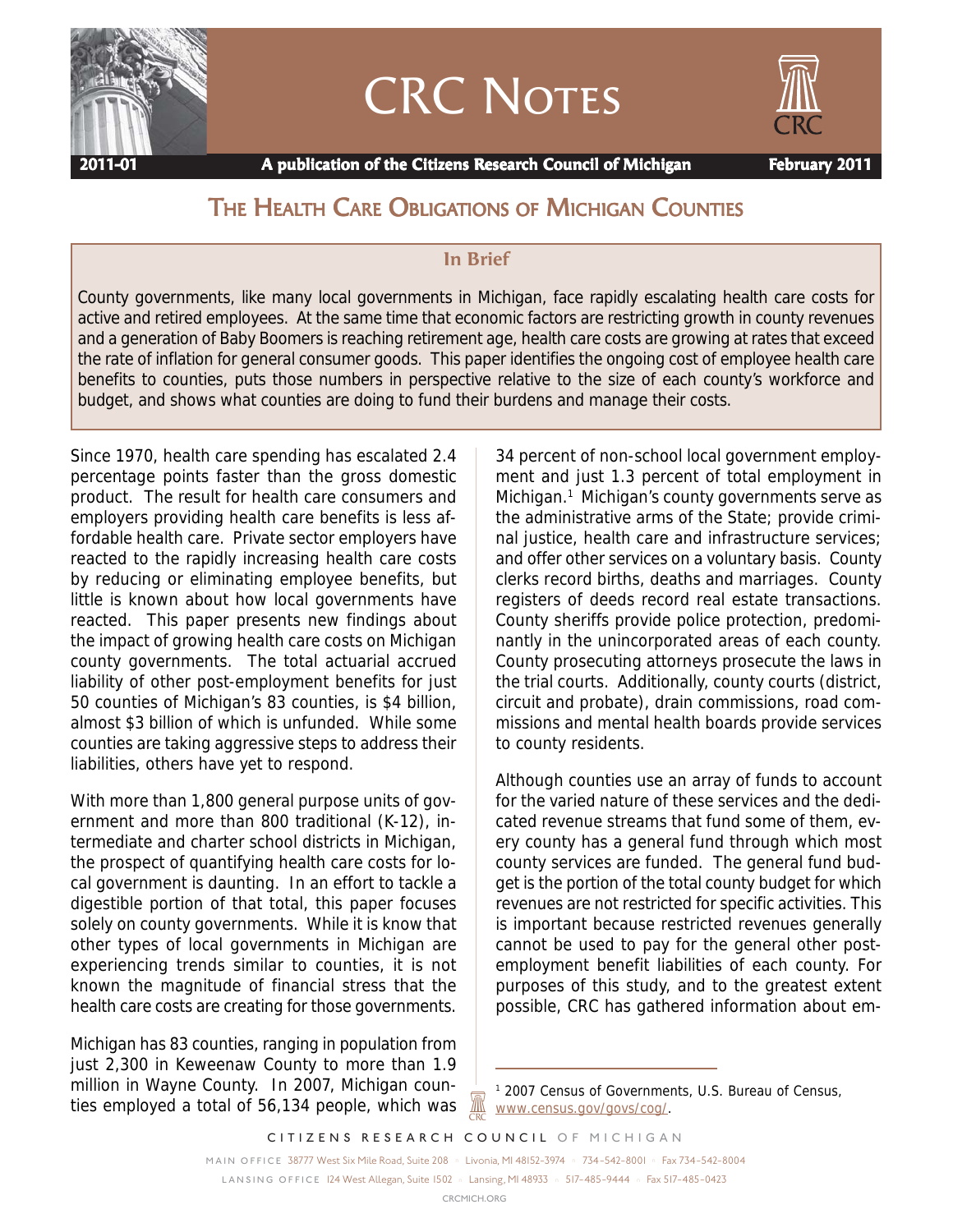

# CRC NOTES



 **2011-01 A publication of the Citizens Research Council of Michigan February 2011**

# THE HEALTH CARE OBLIGATIONS OF MICHIGAN COUNTIES

#### **In Brief**

County governments, like many local governments in Michigan, face rapidly escalating health care costs for active and retired employees. At the same time that economic factors are restricting growth in county revenues and a generation of Baby Boomers is reaching retirement age, health care costs are growing at rates that exceed the rate of inflation for general consumer goods. This paper identifies the ongoing cost of employee health care benefits to counties, puts those numbers in perspective relative to the size of each county's workforce and budget, and shows what counties are doing to fund their burdens and manage their costs.

Since 1970, health care spending has escalated 2.4 percentage points faster than the gross domestic product. The result for health care consumers and employers providing health care benefits is less affordable health care. Private sector employers have reacted to the rapidly increasing health care costs by reducing or eliminating employee benefits, but little is known about how local governments have reacted. This paper presents new findings about the impact of growing health care costs on Michigan county governments. The total actuarial accrued liability of other post-employment benefits for just 50 counties of Michigan's 83 counties, is \$4 billion, almost \$3 billion of which is unfunded. While some counties are taking aggressive steps to address their liabilities, others have yet to respond.

With more than 1,800 general purpose units of government and more than 800 traditional (K-12), intermediate and charter school districts in Michigan, the prospect of quantifying health care costs for local government is daunting. In an effort to tackle a digestible portion of that total, this paper focuses solely on county governments. While it is know that other types of local governments in Michigan are experiencing trends similar to counties, it is not known the magnitude of financial stress that the health care costs are creating for those governments.

Michigan has 83 counties, ranging in population from just 2,300 in Keweenaw County to more than 1.9 million in Wayne County. In 2007, Michigan counties employed a total of 56,134 people, which was

34 percent of non-school local government employment and just 1.3 percent of total employment in Michigan.<sup>1</sup> Michigan's county governments serve as the administrative arms of the State; provide criminal justice, health care and infrastructure services; and offer other services on a voluntary basis. County clerks record births, deaths and marriages. County registers of deeds record real estate transactions. County sheriffs provide police protection, predominantly in the unincorporated areas of each county. County prosecuting attorneys prosecute the laws in the trial courts. Additionally, county courts (district, circuit and probate), drain commissions, road commissions and mental health boards provide services to county residents.

Although counties use an array of funds to account for the varied nature of these services and the dedicated revenue streams that fund some of them, every county has a general fund through which most county services are funded. The general fund budget is the portion of the total county budget for which revenues are not restricted for specific activities. This is important because restricted revenues generally cannot be used to pay for the general other postemployment benefit liabilities of each county. For purposes of this study, and to the greatest extent possible, CRC has gathered information about em-

*CITIZENS RESEARCH COUNCIL OF MICHIGAN*

<u>ЖҚ</u>

<sup>1</sup> 2007 Census of Governments, U.S. Bureau of Census, www.census.gov/govs/cog/.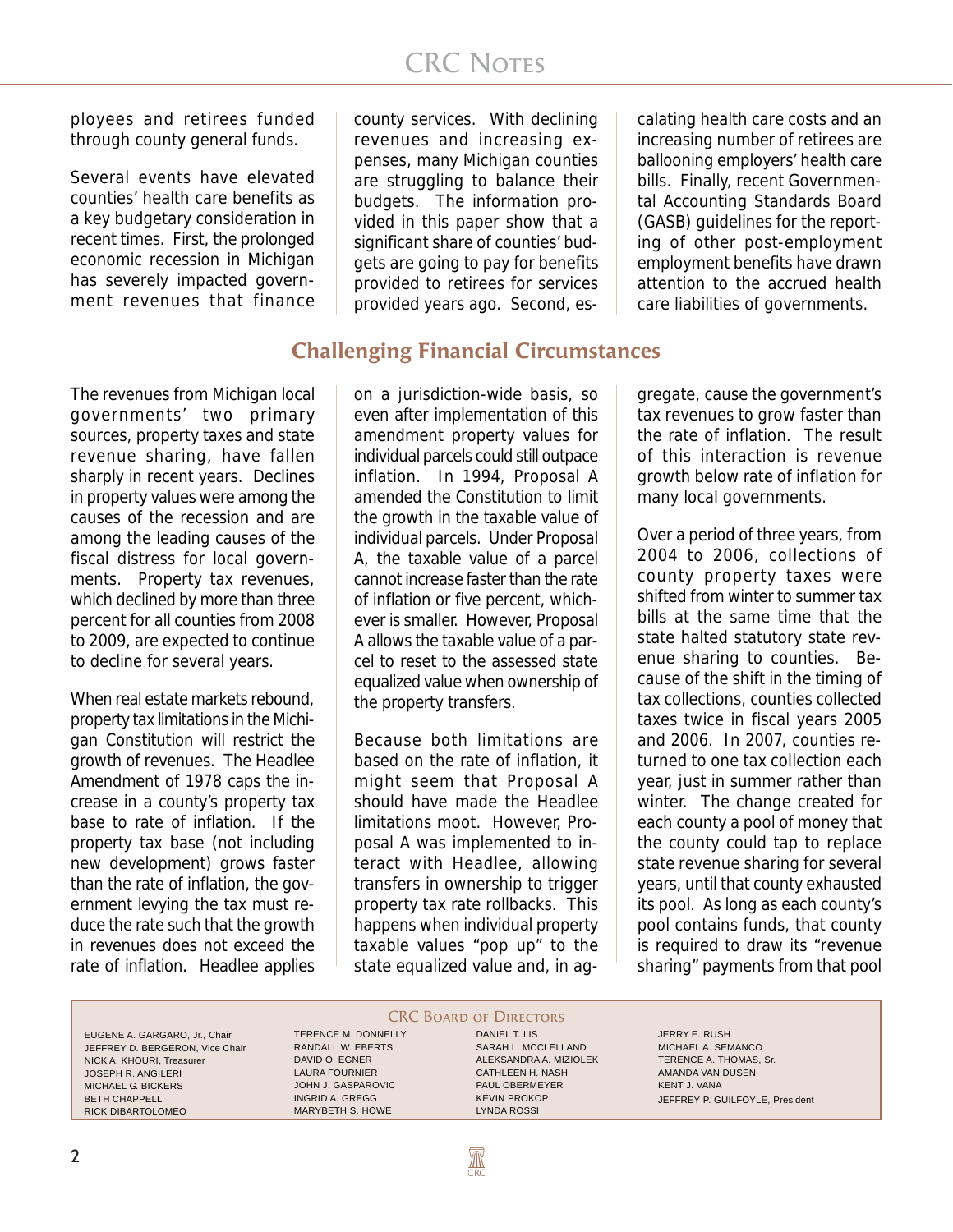ployees and retirees funded through county general funds.

Several events have elevated counties' health care benefits as a key budgetary consideration in recent times. First, the prolonged economic recession in Michigan has severely impacted government revenues that finance

county services. With declining revenues and increasing expenses, many Michigan counties are struggling to balance their budgets. The information provided in this paper show that a significant share of counties' budgets are going to pay for benefits provided to retirees for services provided years ago. Second, escalating health care costs and an increasing number of retirees are ballooning employers' health care bills. Finally, recent Governmental Accounting Standards Board (GASB) guidelines for the reporting of other post-employment employment benefits have drawn attention to the accrued health care liabilities of governments.

# **Challenging Financial Circumstances**

The revenues from Michigan local governments' two primary sources, property taxes and state revenue sharing, have fallen sharply in recent years. Declines in property values were among the causes of the recession and are among the leading causes of the fiscal distress for local governments. Property tax revenues, which declined by more than three percent for all counties from 2008 to 2009, are expected to continue to decline for several years.

When real estate markets rebound, property tax limitations in the Michigan Constitution will restrict the growth of revenues. The Headlee Amendment of 1978 caps the increase in a county's property tax base to rate of inflation. If the property tax base (not including new development) grows faster than the rate of inflation, the government levying the tax must reduce the rate such that the growth in revenues does not exceed the rate of inflation. Headlee applies

on a jurisdiction-wide basis, so even after implementation of this amendment property values for individual parcels could still outpace inflation. In 1994, Proposal A amended the Constitution to limit the growth in the taxable value of individual parcels. Under Proposal A, the taxable value of a parcel cannot increase faster than the rate of inflation or five percent, whichever is smaller. However, Proposal A allows the taxable value of a parcel to reset to the assessed state equalized value when ownership of the property transfers.

Because both limitations are based on the rate of inflation, it might seem that Proposal A should have made the Headlee limitations moot. However, Proposal A was implemented to interact with Headlee, allowing transfers in ownership to trigger property tax rate rollbacks. This happens when individual property taxable values "pop up" to the state equalized value and, in aggregate, cause the government's tax revenues to grow faster than the rate of inflation. The result of this interaction is revenue growth below rate of inflation for many local governments.

Over a period of three years, from 2004 to 2006, collections of county property taxes were shifted from winter to summer tax bills at the same time that the state halted statutory state revenue sharing to counties. Because of the shift in the timing of tax collections, counties collected taxes twice in fiscal years 2005 and 2006. In 2007, counties returned to one tax collection each year, just in summer rather than winter. The change created for each county a pool of money that the county could tap to replace state revenue sharing for several years, until that county exhausted its pool. As long as each county's pool contains funds, that county is required to draw its "revenue sharing" payments from that pool

EUGENE A. GARGARO, Jr., Chair JEFFREY D. BERGERON, Vice Chair NICK A. KHOURI, Treasurer JOSEPH R. ANGILERI MICHAEL G. BICKERS BETH CHAPPELL RICK DIBARTOLOMEO

TERENCE M. DONNELLY RANDALL W. EBERTS DAVID O. EGNER LAURA FOURNIER JOHN J. GASPAROVIC INGRID A. GREGG

MARYBETH S. HOWE

**CRC BOARD OF DIRECTORS** DANIEL T. LIS SARAH L. MCCLELLAND ALEKSANDRA A. MIZIOLEK CATHLEEN H. NASH PAUL OBERMEYER KEVIN PROKOP

LYNDA ROSSI

**AN** 

JERRY E. RUSH MICHAEL A. SEMANCO TERENCE A. THOMAS, Sr. AMANDA VAN DUSEN KENT J. VANA JEFFREY P. GUILFOYLE, President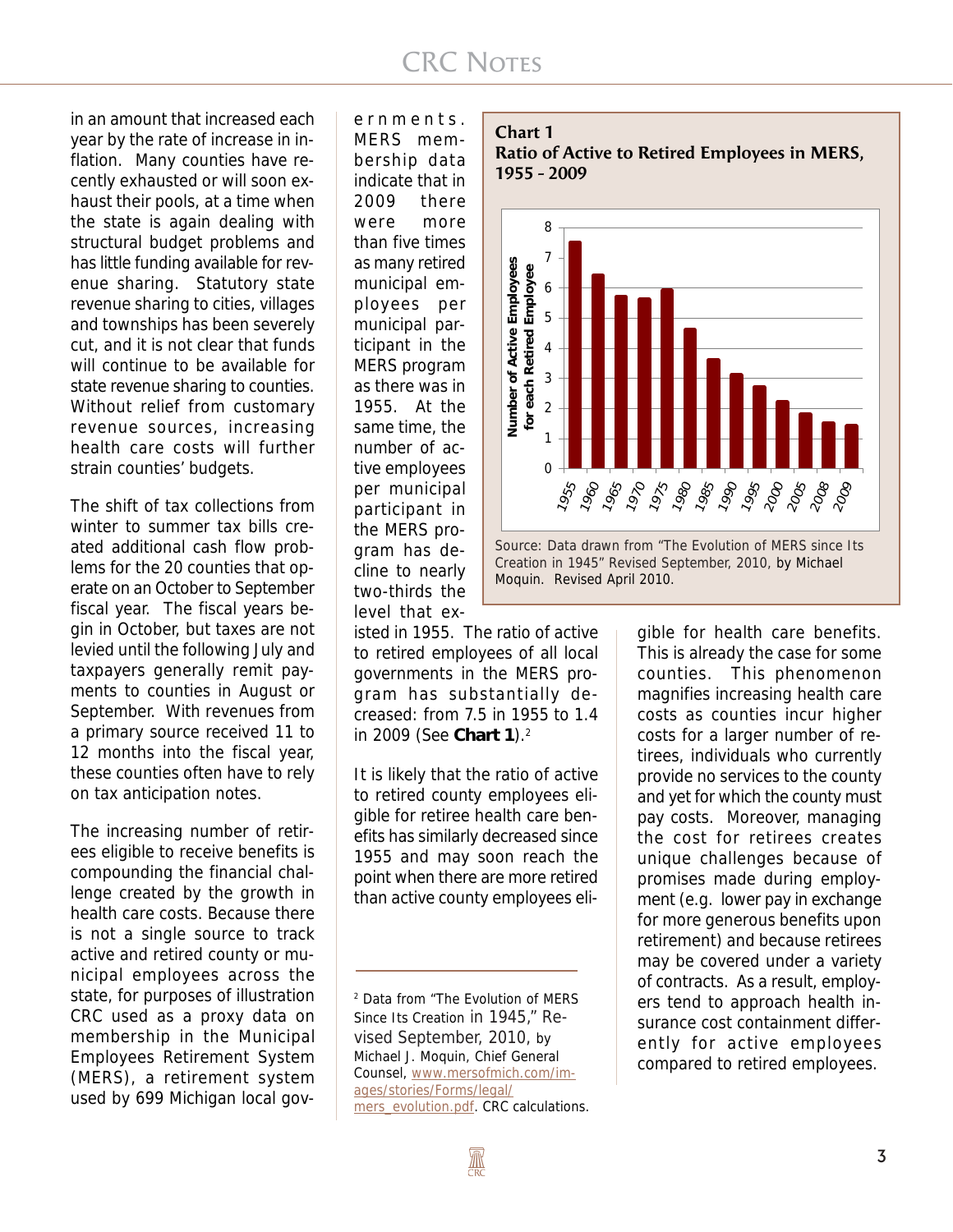# **CRC NOTES**

in an amount that increased each year by the rate of increase in inflation. Many counties have recently exhausted or will soon exhaust their pools, at a time when the state is again dealing with structural budget problems and has little funding available for revenue sharing. Statutory state revenue sharing to cities, villages and townships has been severely cut, and it is not clear that funds will continue to be available for state revenue sharing to counties. Without relief from customary revenue sources, increasing health care costs will further strain counties' budgets.

The shift of tax collections from winter to summer tax bills created additional cash flow problems for the 20 counties that operate on an October to September fiscal year. The fiscal years begin in October, but taxes are not levied until the following July and taxpayers generally remit payments to counties in August or September. With revenues from a primary source received 11 to 12 months into the fiscal year, these counties often have to rely on tax anticipation notes.

The increasing number of retirees eligible to receive benefits is compounding the financial challenge created by the growth in health care costs. Because there is not a single source to track active and retired county or municipal employees across the state, for purposes of illustration CRC used as a proxy data on membership in the Municipal Employees Retirement System (MERS), a retirement system used by 699 Michigan local governments. MERS membership data indicate that in 2009 there were more than five times as many retired municipal employees per municipal participant in the MERS program as there was in 1955. At the same time, the number of active employees per municipal participant in the MERS program has decline to nearly two-thirds the level that ex-

isted in 1955. The ratio of active to retired employees of all local governments in the MERS program has substantially decreased: from 7.5 in 1955 to 1.4 in 2009 (See **Chart 1**).2

It is likely that the ratio of active to retired county employees eligible for retiree health care benefits has similarly decreased since 1955 and may soon reach the point when there are more retired than active county employees eli-







gible for health care benefits. This is already the case for some counties. This phenomenon magnifies increasing health care costs as counties incur higher costs for a larger number of retirees, individuals who currently provide no services to the county and yet for which the county must pay costs. Moreover, managing the cost for retirees creates unique challenges because of promises made during employment (e.g. lower pay in exchange for more generous benefits upon retirement) and because retirees may be covered under a variety of contracts. As a result, employers tend to approach health insurance cost containment differently for active employees compared to retired employees.

<sup>2</sup> Data from "The Evolution of MERS Since Its Creation in 1945," Revised September, 2010, by Michael J. Moquin, Chief General Counsel, www.mersofmich.com/images/stories/Forms/legal/ mers\_evolution.pdf. CRC calculations.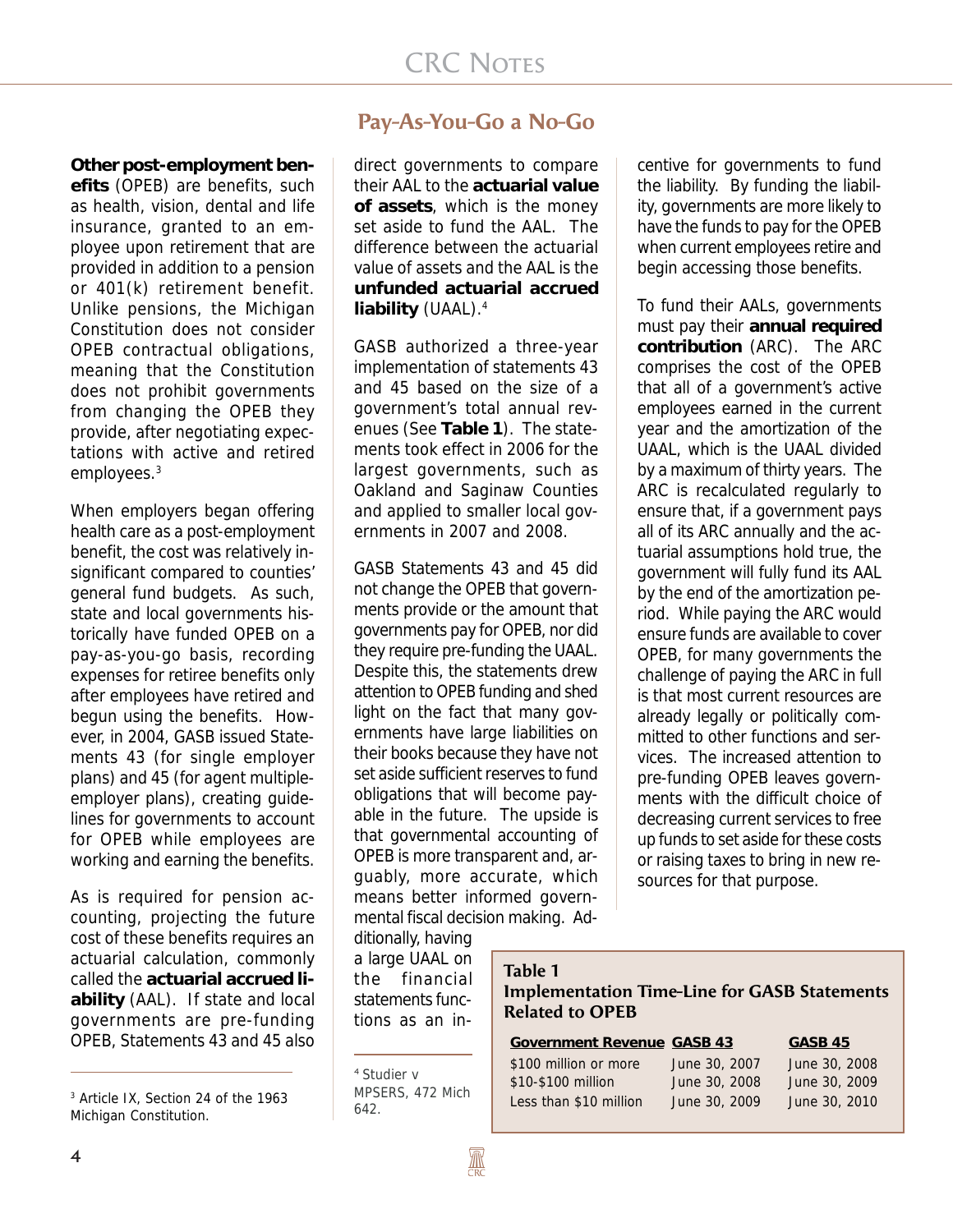**Other post-employment benefits** (OPEB) are benefits, such as health, vision, dental and life insurance, granted to an employee upon retirement that are provided in addition to a pension or 401(k) retirement benefit. Unlike pensions, the Michigan Constitution does not consider OPEB contractual obligations, meaning that the Constitution does not prohibit governments from changing the OPEB they provide, after negotiating expectations with active and retired employees.3

When employers began offering health care as a post-employment benefit, the cost was relatively insignificant compared to counties' general fund budgets. As such, state and local governments historically have funded OPEB on a pay-as-you-go basis, recording expenses for retiree benefits only after employees have retired and begun using the benefits. However, in 2004, GASB issued Statements 43 (for single employer plans) and 45 (for agent multipleemployer plans), creating guidelines for governments to account for OPEB while employees are working and earning the benefits.

As is required for pension accounting, projecting the future cost of these benefits requires an actuarial calculation, commonly called the **actuarial accrued liability** (AAL). If state and local governments are pre-funding OPEB, Statements 43 and 45 also

# **Pay-As-You-Go a No-Go**

direct governments to compare their AAL to the **actuarial value of assets**, which is the money set aside to fund the AAL. The difference between the actuarial value of assets and the AAL is the **unfunded actuarial accrued liability** (UAAL).4

GASB authorized a three-year implementation of statements 43 and 45 based on the size of a government's total annual revenues (See **Table 1**). The statements took effect in 2006 for the largest governments, such as Oakland and Saginaw Counties and applied to smaller local governments in 2007 and 2008.

GASB Statements 43 and 45 did not change the OPEB that governments provide or the amount that governments pay for OPEB, nor did they require pre-funding the UAAL. Despite this, the statements drew attention to OPEB funding and shed light on the fact that many governments have large liabilities on their books because they have not set aside sufficient reserves to fund obligations that will become payable in the future. The upside is that governmental accounting of OPEB is more transparent and, arguably, more accurate, which means better informed governmental fiscal decision making. Ad-

ditionally, having a large UAAL on the financial statements functions as an incentive for governments to fund the liability. By funding the liability, governments are more likely to have the funds to pay for the OPEB when current employees retire and begin accessing those benefits.

To fund their AALs, governments must pay their **annual required contribution** (ARC). The ARC comprises the cost of the OPEB that all of a government's active employees earned in the current year and the amortization of the UAAL, which is the UAAL divided by a maximum of thirty years. The ARC is recalculated regularly to ensure that, if a government pays all of its ARC annually and the actuarial assumptions hold true, the government will fully fund its AAL by the end of the amortization period. While paying the ARC would ensure funds are available to cover OPEB, for many governments the challenge of paying the ARC in full is that most current resources are already legally or politically committed to other functions and services. The increased attention to pre-funding OPEB leaves governments with the difficult choice of decreasing current services to free up funds to set aside for these costs or raising taxes to bring in new resources for that purpose.

#### **Table 1**

#### **Implementation Time-Line for GASB Statements Related to OPEB**

| <b>Government Revenue GASB 43</b> |  |
|-----------------------------------|--|
|                                   |  |

\$100 million or more June 30, 2007 June 30, 2008 \$10-\$100 million June 30, 2008 June 30, 2009 Less than \$10 million June 30, 2009 June 30, 2010

**Government Revenue GASB 43 GASB 45**

<sup>3</sup> Article IX, Section 24 of the 1963 Michigan Constitution.

<sup>4</sup> Studier v MPSERS, 472 Mich 642.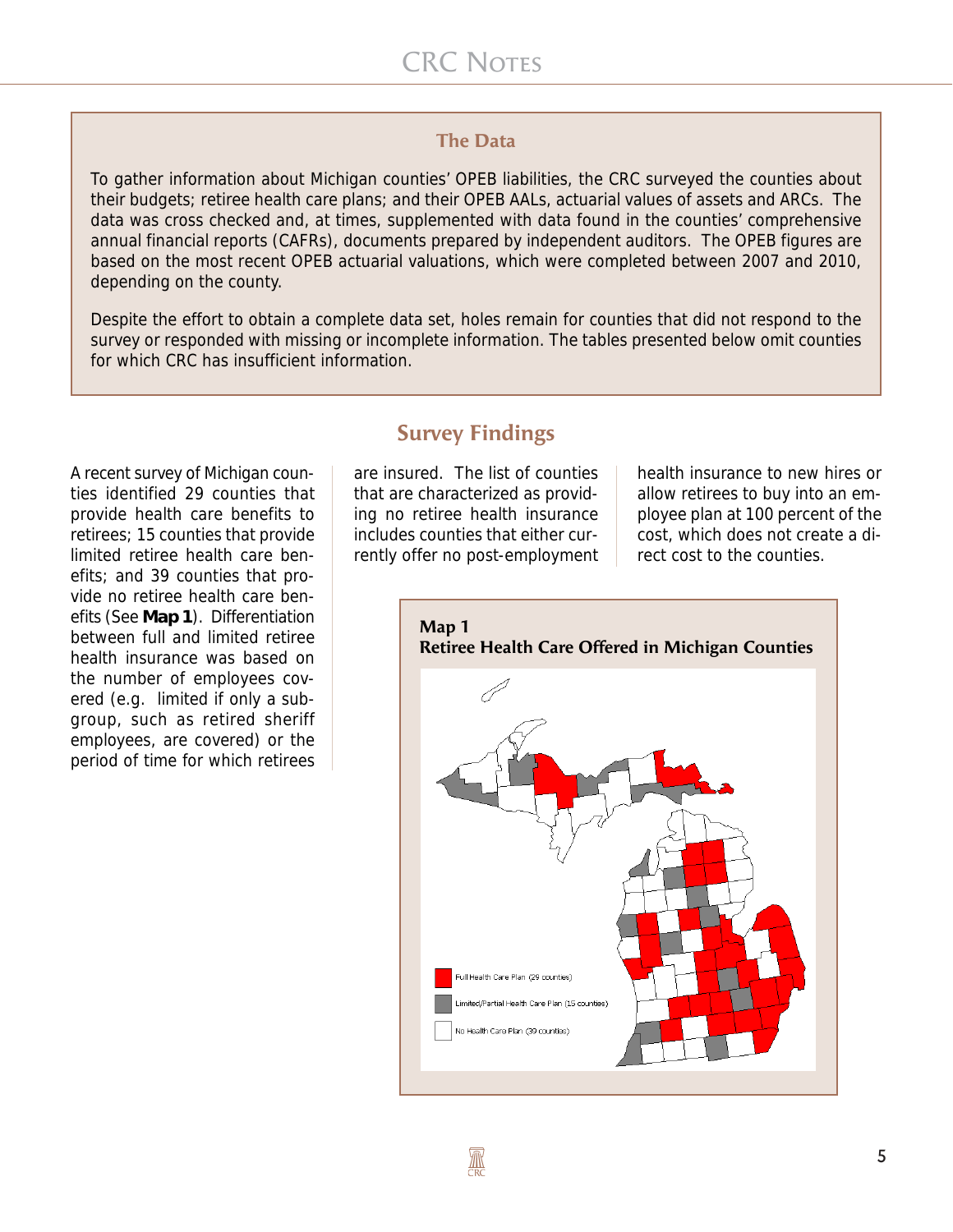#### **The Data**

To gather information about Michigan counties' OPEB liabilities, the CRC surveyed the counties about their budgets; retiree health care plans; and their OPEB AALs, actuarial values of assets and ARCs. The data was cross checked and, at times, supplemented with data found in the counties' comprehensive annual financial reports (CAFRs), documents prepared by independent auditors. The OPEB figures are based on the most recent OPEB actuarial valuations, which were completed between 2007 and 2010, depending on the county.

Despite the effort to obtain a complete data set, holes remain for counties that did not respond to the survey or responded with missing or incomplete information. The tables presented below omit counties for which CRC has insufficient information.

A recent survey of Michigan counties identified 29 counties that provide health care benefits to retirees; 15 counties that provide limited retiree health care benefits; and 39 counties that provide no retiree health care benefits (See **Map 1**). Differentiation between full and limited retiree health insurance was based on the number of employees covered (e.g. limited if only a subgroup, such as retired sheriff employees, are covered) or the period of time for which retirees

# **Survey Findings**

are insured. The list of counties that are characterized as providing no retiree health insurance includes counties that either currently offer no post-employment

health insurance to new hires or allow retirees to buy into an employee plan at 100 percent of the cost, which does not create a direct cost to the counties.

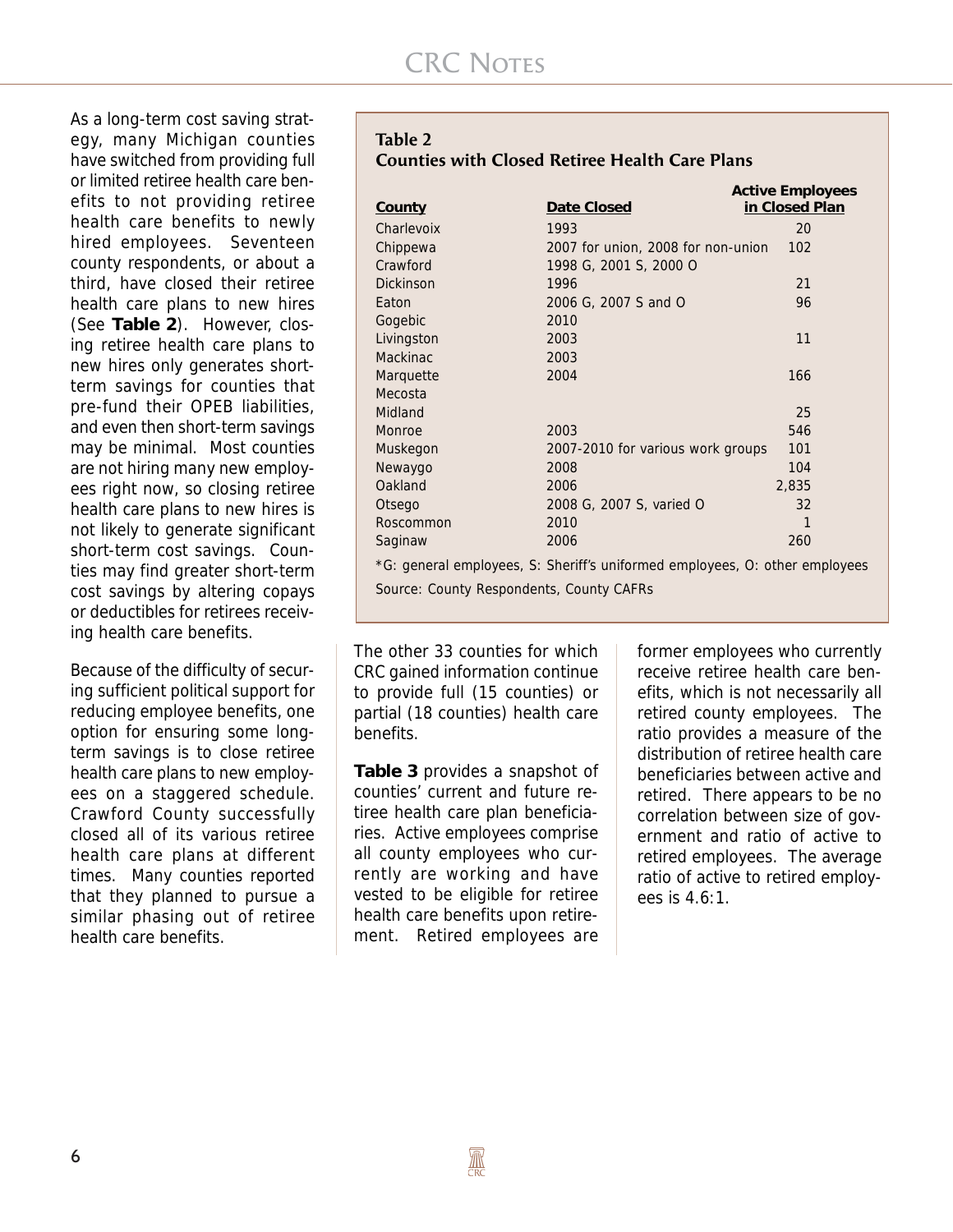As a long-term cost saving strategy, many Michigan counties have switched from providing full or limited retiree health care benefits to not providing retiree health care benefits to newly hired employees. Seventeen county respondents, or about a third, have closed their retiree health care plans to new hires (See **Table 2**). However, closing retiree health care plans to new hires only generates shortterm savings for counties that pre-fund their OPEB liabilities, and even then short-term savings may be minimal. Most counties are not hiring many new employees right now, so closing retiree health care plans to new hires is not likely to generate significant short-term cost savings. Counties may find greater short-term cost savings by altering copays or deductibles for retirees receiving health care benefits.

Because of the difficulty of securing sufficient political support for reducing employee benefits, one option for ensuring some longterm savings is to close retiree health care plans to new employees on a staggered schedule. Crawford County successfully closed all of its various retiree health care plans at different times. Many counties reported that they planned to pursue a similar phasing out of retiree health care benefits.

#### **Table 2 Counties with Closed Retiree Health Care Plans**

| County                                                                      | Date Closed                        | <b>Active Employees</b><br>in Closed Plan |  |  |
|-----------------------------------------------------------------------------|------------------------------------|-------------------------------------------|--|--|
| Charlevoix                                                                  | 1993                               | 20                                        |  |  |
| Chippewa                                                                    | 2007 for union, 2008 for non-union | 102                                       |  |  |
| Crawford                                                                    | 1998 G, 2001 S, 2000 O             |                                           |  |  |
| <b>Dickinson</b>                                                            | 1996                               | 21                                        |  |  |
| Eaton                                                                       | 2006 G, 2007 S and O               | 96                                        |  |  |
| Gogebic                                                                     | 2010                               |                                           |  |  |
| Livingston                                                                  | 2003                               | 11                                        |  |  |
| Mackinac                                                                    | 2003                               |                                           |  |  |
| Marquette                                                                   | 2004                               | 166                                       |  |  |
| Mecosta                                                                     |                                    |                                           |  |  |
| Midland                                                                     |                                    | 25                                        |  |  |
| Monroe                                                                      | 2003                               | 546                                       |  |  |
| Muskegon                                                                    | 2007-2010 for various work groups  | 101                                       |  |  |
| Newaygo                                                                     | 2008                               | 104                                       |  |  |
| Oakland                                                                     | 2006                               | 2,835                                     |  |  |
| Otsego                                                                      | 2008 G, 2007 S, varied O           | 32                                        |  |  |
| Roscommon                                                                   | 2010                               | $\mathbf{1}$                              |  |  |
| Saginaw                                                                     | 2006                               | 260                                       |  |  |
| *G: general employees, S: Sheriff's uniformed employees, O: other employees |                                    |                                           |  |  |
| Source: County Respondents, County CAFRs                                    |                                    |                                           |  |  |

The other 33 counties for which CRC gained information continue to provide full (15 counties) or partial (18 counties) health care benefits.

**Table 3** provides a snapshot of counties' current and future retiree health care plan beneficiaries. Active employees comprise all county employees who currently are working and have vested to be eligible for retiree health care benefits upon retirement. Retired employees are

former employees who currently receive retiree health care benefits, which is not necessarily all retired county employees. The ratio provides a measure of the distribution of retiree health care beneficiaries between active and retired. There appears to be no correlation between size of government and ratio of active to retired employees. The average ratio of active to retired employees is 4.6:1.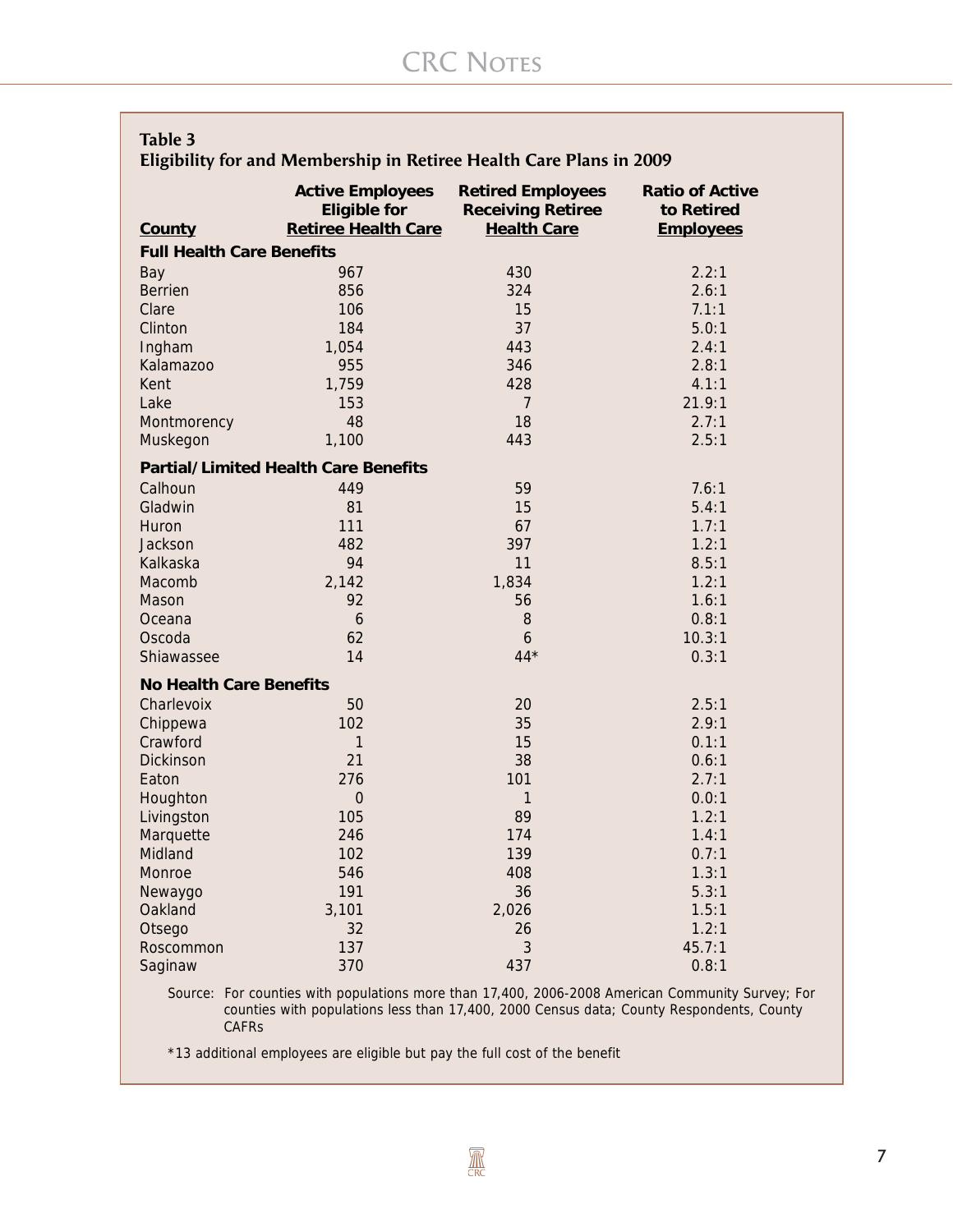| Eligibility for and Membership in Retiree Health Care Plans in 2009 |                                                                                                                                                                                              |                                                                            |                                                          |
|---------------------------------------------------------------------|----------------------------------------------------------------------------------------------------------------------------------------------------------------------------------------------|----------------------------------------------------------------------------|----------------------------------------------------------|
| County                                                              | <b>Active Employees</b><br><b>Eligible for</b><br><b>Retiree Health Care</b>                                                                                                                 | <b>Retired Employees</b><br><b>Receiving Retiree</b><br><b>Health Care</b> | <b>Ratio of Active</b><br>to Retired<br><b>Employees</b> |
|                                                                     | <b>Full Health Care Benefits</b>                                                                                                                                                             |                                                                            |                                                          |
| Bay                                                                 | 967                                                                                                                                                                                          | 430                                                                        | 2.2:1                                                    |
| <b>Berrien</b>                                                      | 856                                                                                                                                                                                          | 324                                                                        | 2.6:1                                                    |
| Clare                                                               | 106                                                                                                                                                                                          | 15                                                                         | 7.1:1                                                    |
| Clinton                                                             | 184                                                                                                                                                                                          | 37                                                                         | 5.0:1                                                    |
| Ingham                                                              | 1,054                                                                                                                                                                                        | 443                                                                        | 2.4:1                                                    |
| Kalamazoo                                                           | 955                                                                                                                                                                                          | 346                                                                        | 2.8:1                                                    |
| Kent                                                                | 1,759                                                                                                                                                                                        | 428                                                                        | 4.1:1                                                    |
| Lake                                                                | 153                                                                                                                                                                                          | $\overline{7}$                                                             | 21.9:1                                                   |
| Montmorency                                                         | 48                                                                                                                                                                                           | 18                                                                         | 2.7:1                                                    |
| Muskegon                                                            | 1,100                                                                                                                                                                                        | 443                                                                        | 2.5:1                                                    |
|                                                                     | <b>Partial/Limited Health Care Benefits</b>                                                                                                                                                  |                                                                            |                                                          |
| Calhoun                                                             | 449                                                                                                                                                                                          | 59                                                                         | 7.6:1                                                    |
| Gladwin                                                             | 81                                                                                                                                                                                           | 15                                                                         | 5.4:1                                                    |
| Huron                                                               | 111                                                                                                                                                                                          | 67                                                                         | 1.7:1                                                    |
| Jackson                                                             | 482                                                                                                                                                                                          | 397                                                                        | 1.2:1                                                    |
| Kalkaska                                                            | 94                                                                                                                                                                                           | 11                                                                         | 8.5:1                                                    |
| Macomb                                                              | 2,142                                                                                                                                                                                        | 1,834                                                                      | 1.2:1                                                    |
| Mason                                                               | 92                                                                                                                                                                                           | 56                                                                         | 1.6:1                                                    |
| Oceana                                                              | 6                                                                                                                                                                                            | 8                                                                          | 0.8:1                                                    |
| Oscoda                                                              | 62                                                                                                                                                                                           | $\mathfrak b$                                                              | 10.3:1                                                   |
| Shiawassee                                                          | 14                                                                                                                                                                                           | $44*$                                                                      | 0.3:1                                                    |
|                                                                     | <b>No Health Care Benefits</b>                                                                                                                                                               |                                                                            |                                                          |
| Charlevoix                                                          | 50                                                                                                                                                                                           | 20                                                                         | 2.5:1                                                    |
| Chippewa                                                            | 102                                                                                                                                                                                          | 35                                                                         | 2.9:1                                                    |
| Crawford                                                            | 1                                                                                                                                                                                            | 15                                                                         | 0.1:1                                                    |
| Dickinson                                                           | 21                                                                                                                                                                                           | 38                                                                         | 0.6:1                                                    |
| Eaton                                                               | 276                                                                                                                                                                                          | 101                                                                        | 2.7:1                                                    |
| Houghton                                                            | $\mathbf 0$                                                                                                                                                                                  | $\mathbf{1}$                                                               | 0.0:1                                                    |
| Livingston                                                          | 105                                                                                                                                                                                          | 89                                                                         | 1.2:1                                                    |
| Marquette                                                           | 246                                                                                                                                                                                          | 174                                                                        | 1.4:1                                                    |
| Midland                                                             | 102                                                                                                                                                                                          | 139                                                                        | 0.7:1                                                    |
| Monroe                                                              | 546                                                                                                                                                                                          | 408                                                                        | 1.3:1                                                    |
| Newaygo                                                             | 191                                                                                                                                                                                          | 36                                                                         | 5.3:1                                                    |
| Oakland                                                             | 3,101                                                                                                                                                                                        | 2,026                                                                      | 1.5:1                                                    |
| Otsego                                                              | 32                                                                                                                                                                                           | 26                                                                         | 1.2:1                                                    |
| Roscommon                                                           | 137                                                                                                                                                                                          | 3                                                                          | 45.7:1                                                   |
| Saginaw                                                             | 370                                                                                                                                                                                          | 437                                                                        | 0.8:1                                                    |
|                                                                     | Source: For counties with populations more than 17,400, 2006-2008 American Community Survey; For<br>counties with populations less than 17,400, 2000 Census data; County Respondents, County |                                                                            |                                                          |

**CAFRS** 

**Table 3**

\*13 additional employees are eligible but pay the full cost of the benefit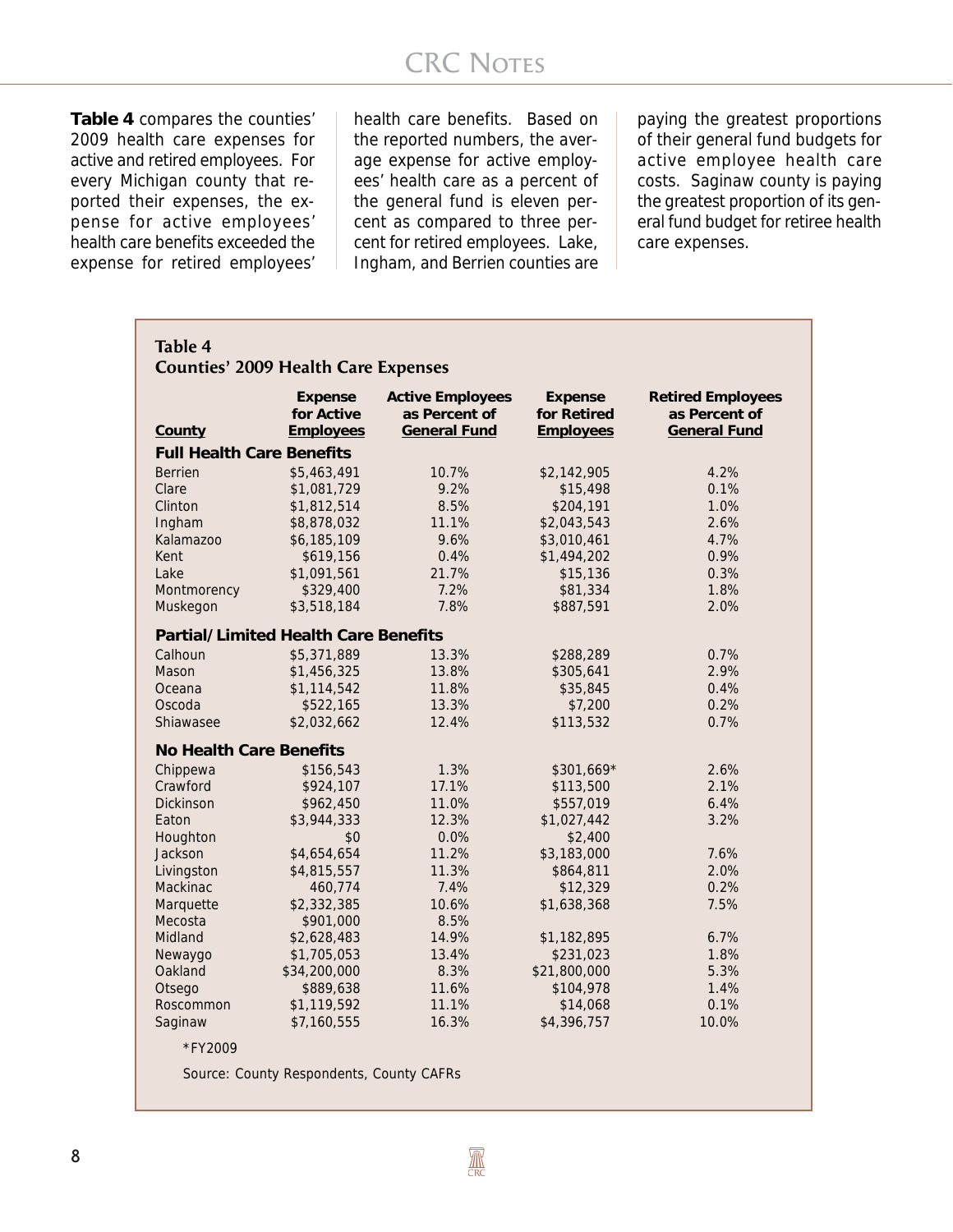**Table 4** compares the counties' 2009 health care expenses for active and retired employees. For every Michigan county that reported their expenses, the expense for active employees' health care benefits exceeded the expense for retired employees' health care benefits. Based on the reported numbers, the average expense for active employees' health care as a percent of the general fund is eleven percent as compared to three percent for retired employees. Lake, Ingham, and Berrien counties are

paying the greatest proportions of their general fund budgets for active employee health care costs. Saginaw county is paying the greatest proportion of its general fund budget for retiree health care expenses.

| <b>Table 4</b>                              |                                                  |                                                                 |                                                   |                                                                  |
|---------------------------------------------|--------------------------------------------------|-----------------------------------------------------------------|---------------------------------------------------|------------------------------------------------------------------|
| <b>Counties' 2009 Health Care Expenses</b>  |                                                  |                                                                 |                                                   |                                                                  |
| County                                      | <b>Expense</b><br>for Active<br><b>Employees</b> | <b>Active Employees</b><br>as Percent of<br><b>General Fund</b> | <b>Expense</b><br>for Retired<br><b>Employees</b> | <b>Retired Employees</b><br>as Percent of<br><b>General Fund</b> |
| <b>Full Health Care Benefits</b>            |                                                  |                                                                 |                                                   |                                                                  |
| <b>Berrien</b>                              | \$5,463,491                                      | 10.7%                                                           | \$2,142,905                                       | 4.2%                                                             |
| Clare                                       | \$1,081,729                                      | 9.2%                                                            | \$15,498                                          | 0.1%                                                             |
| Clinton                                     | \$1,812,514                                      | 8.5%                                                            | \$204,191                                         | 1.0%                                                             |
| Ingham                                      | \$8,878,032                                      | 11.1%                                                           | \$2,043,543                                       | 2.6%                                                             |
| Kalamazoo                                   | \$6,185,109                                      | 9.6%                                                            | \$3,010,461                                       | 4.7%                                                             |
| Kent                                        | \$619,156                                        | 0.4%                                                            | \$1,494,202                                       | 0.9%                                                             |
| Lake                                        | \$1,091,561                                      | 21.7%                                                           | \$15,136                                          | 0.3%                                                             |
| Montmorency                                 | \$329,400                                        | 7.2%                                                            | \$81,334                                          | 1.8%                                                             |
| Muskegon                                    | \$3,518,184                                      | 7.8%                                                            | \$887,591                                         | 2.0%                                                             |
| <b>Partial/Limited Health Care Benefits</b> |                                                  |                                                                 |                                                   |                                                                  |
| Calhoun                                     | \$5,371,889                                      | 13.3%                                                           | \$288,289                                         | 0.7%                                                             |
| Mason                                       | \$1,456,325                                      | 13.8%                                                           | \$305,641                                         | 2.9%                                                             |
| Oceana                                      | \$1,114,542                                      | 11.8%                                                           | \$35,845                                          | 0.4%                                                             |
| Oscoda                                      | \$522,165                                        | 13.3%                                                           | \$7,200                                           | 0.2%                                                             |
| Shiawasee                                   | \$2,032,662                                      | 12.4%                                                           | \$113,532                                         | 0.7%                                                             |
| <b>No Health Care Benefits</b>              |                                                  |                                                                 |                                                   |                                                                  |
| Chippewa                                    | \$156,543                                        | 1.3%                                                            | \$301,669*                                        | 2.6%                                                             |
| Crawford                                    | \$924,107                                        | 17.1%                                                           | \$113,500                                         | 2.1%                                                             |
| <b>Dickinson</b>                            | \$962,450                                        | 11.0%                                                           | \$557,019                                         | 6.4%                                                             |
| Eaton                                       | \$3,944,333                                      | 12.3%                                                           | \$1,027,442                                       | 3.2%                                                             |
| Houghton                                    | \$0                                              | 0.0%                                                            | \$2,400                                           |                                                                  |
| Jackson                                     | \$4,654,654                                      | 11.2%                                                           | \$3,183,000                                       | 7.6%                                                             |
| Livingston                                  | \$4,815,557                                      | 11.3%                                                           | \$864,811                                         | 2.0%                                                             |
| Mackinac                                    | 460,774                                          | 7.4%                                                            | \$12,329                                          | 0.2%                                                             |
| Marquette                                   | \$2,332,385                                      | 10.6%                                                           | \$1,638,368                                       | 7.5%                                                             |
| Mecosta                                     | \$901,000                                        | 8.5%                                                            |                                                   |                                                                  |
| Midland                                     | \$2,628,483                                      | 14.9%                                                           | \$1,182,895                                       | 6.7%                                                             |
| Newaygo                                     | \$1,705,053                                      | 13.4%                                                           | \$231,023                                         | 1.8%                                                             |
| Oakland                                     | \$34,200,000                                     | 8.3%                                                            | \$21,800,000                                      | 5.3%                                                             |
| Otsego                                      | \$889,638                                        | 11.6%                                                           | \$104,978                                         | 1.4%                                                             |
| Roscommon                                   | \$1,119,592                                      | 11.1%                                                           | \$14,068                                          | 0.1%                                                             |
| Saginaw                                     | \$7,160,555                                      | 16.3%                                                           | \$4,396,757                                       | 10.0%                                                            |
| *FY2009                                     |                                                  |                                                                 |                                                   |                                                                  |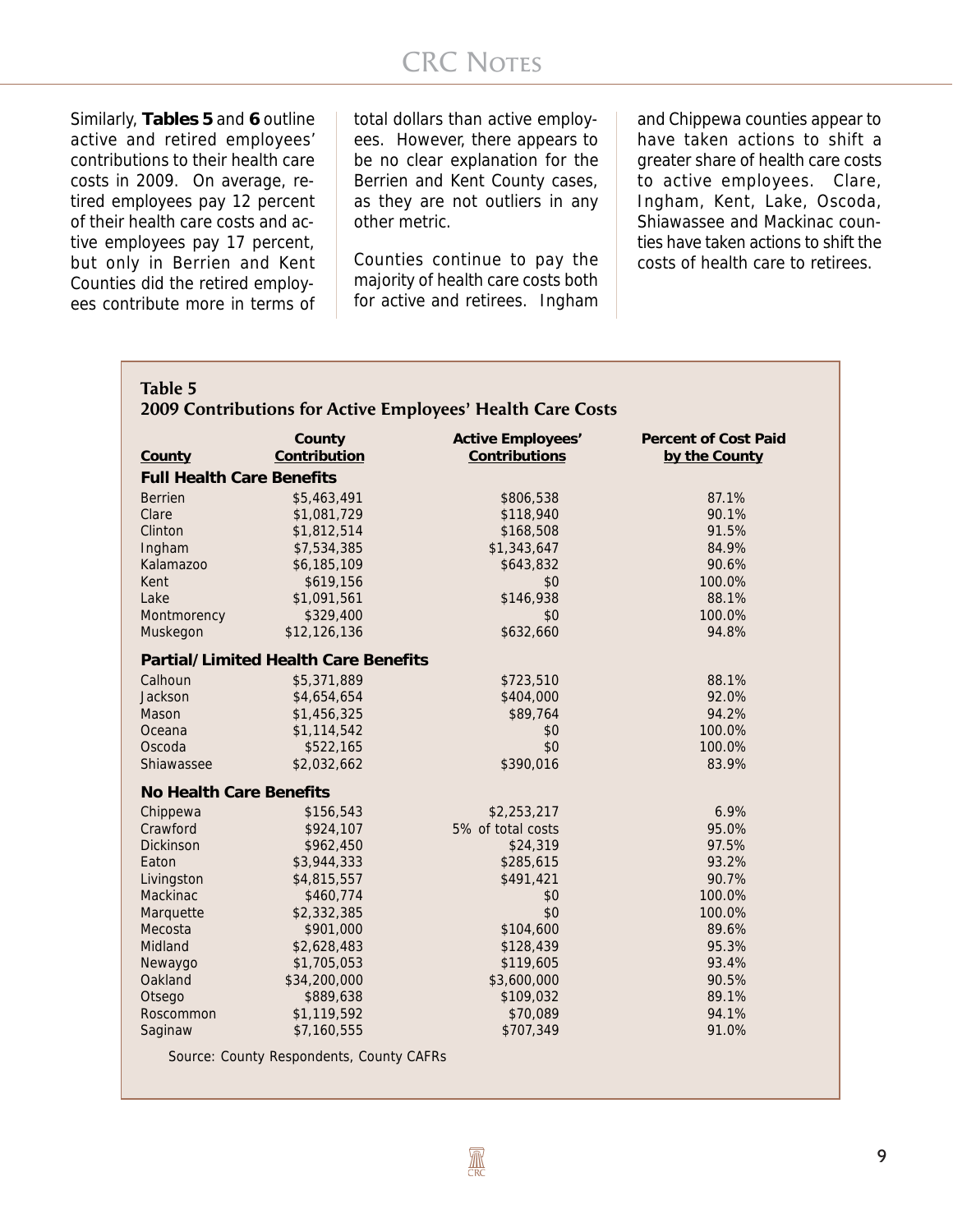Similarly, **Tables 5** and **6** outline active and retired employees' contributions to their health care costs in 2009. On average, retired employees pay 12 percent of their health care costs and active employees pay 17 percent, but only in Berrien and Kent Counties did the retired employees contribute more in terms of

total dollars than active employees. However, there appears to be no clear explanation for the Berrien and Kent County cases, as they are not outliers in any other metric.

Counties continue to pay the majority of health care costs both for active and retirees. Ingham

and Chippewa counties appear to have taken actions to shift a greater share of health care costs to active employees. Clare, Ingham, Kent, Lake, Oscoda, Shiawassee and Mackinac counties have taken actions to shift the costs of health care to retirees.

|                                  | County                                      | <b>Active Employees'</b> | <b>Percent of Cost Paid</b> |
|----------------------------------|---------------------------------------------|--------------------------|-----------------------------|
| County                           | Contribution                                | Contributions            | by the County               |
| <b>Full Health Care Benefits</b> |                                             |                          |                             |
| <b>Berrien</b>                   | \$5,463,491                                 | \$806,538                | 87.1%                       |
| Clare                            | \$1,081,729                                 | \$118,940                | 90.1%                       |
| Clinton                          | \$1,812,514                                 | \$168,508                | 91.5%                       |
| Ingham                           | \$7,534,385                                 | \$1,343,647              | 84.9%                       |
| Kalamazoo                        | \$6,185,109                                 | \$643,832                | 90.6%                       |
| Kent                             | \$619,156                                   | \$0                      | 100.0%                      |
| Lake                             | \$1,091,561                                 | \$146,938                | 88.1%                       |
| Montmorency                      | \$329,400                                   | \$0                      | 100.0%                      |
| Muskegon                         | \$12,126,136                                | \$632,660                | 94.8%                       |
|                                  | <b>Partial/Limited Health Care Benefits</b> |                          |                             |
| Calhoun                          | \$5,371,889                                 | \$723,510                | 88.1%                       |
| Jackson                          | \$4,654,654                                 | \$404,000                | 92.0%                       |
| Mason                            | \$1,456,325                                 | \$89,764                 | 94.2%                       |
| Oceana                           | \$1,114,542                                 | \$0                      | 100.0%                      |
| Oscoda                           | \$522,165                                   | \$0                      | 100.0%                      |
| Shiawassee                       | \$2,032,662                                 | \$390,016                | 83.9%                       |
| <b>No Health Care Benefits</b>   |                                             |                          |                             |
| Chippewa                         | \$156,543                                   | \$2,253,217              | 6.9%                        |
| Crawford                         | \$924,107                                   | 5% of total costs        | 95.0%                       |
| <b>Dickinson</b>                 | \$962,450                                   | \$24,319                 | 97.5%                       |
| Eaton                            | \$3,944,333                                 | \$285,615                | 93.2%                       |
| Livingston                       | \$4,815,557                                 | \$491,421                | 90.7%                       |
| <b>Mackinac</b>                  | \$460,774                                   | \$0                      | 100.0%                      |
| Marquette                        | \$2,332,385                                 | \$0                      | 100.0%                      |
| Mecosta                          | \$901,000                                   | \$104,600                | 89.6%                       |
| Midland                          | \$2,628,483                                 | \$128,439                | 95.3%                       |
| Newaygo                          | \$1,705,053                                 | \$119,605                | 93.4%                       |
| Oakland                          | \$34,200,000                                | \$3,600,000              | 90.5%                       |
| Otsego                           | \$889,638                                   | \$109,032                | 89.1%                       |
| Roscommon                        | \$1,119,592                                 | \$70,089                 | 94.1%                       |
| Saginaw                          | \$7,160,555                                 | \$707,349                | 91.0%                       |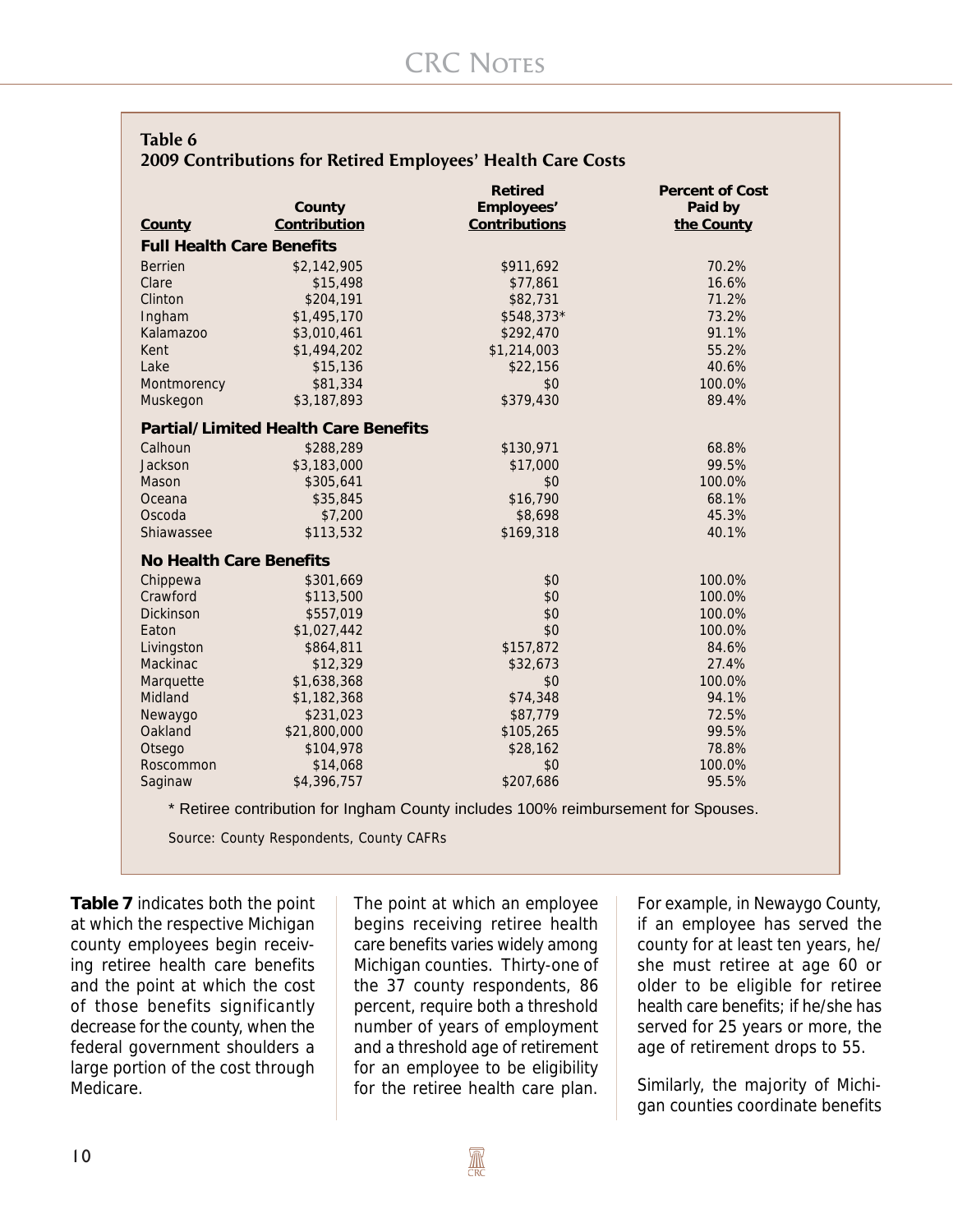| Table 6                                                     |  |
|-------------------------------------------------------------|--|
| 2009 Contributions for Retired Employees' Health Care Costs |  |

|                                  |                                             | <b>Retired</b> | <b>Percent of Cost</b> |
|----------------------------------|---------------------------------------------|----------------|------------------------|
|                                  | County                                      | Employees'     | Paid by                |
| County                           | Contribution                                | Contributions  | the County             |
| <b>Full Health Care Benefits</b> |                                             |                |                        |
| <b>Berrien</b>                   | \$2,142,905                                 | \$911,692      | 70.2%                  |
| Clare                            | \$15,498                                    | \$77,861       | 16.6%                  |
| Clinton                          | \$204,191                                   | \$82,731       | 71.2%                  |
| Ingham                           | \$1,495,170                                 | \$548,373*     | 73.2%                  |
| Kalamazoo                        | \$3,010,461                                 | \$292,470      | 91.1%                  |
| Kent                             | \$1,494,202                                 | \$1,214,003    | 55.2%                  |
| Lake                             | \$15,136                                    | \$22,156       | 40.6%                  |
| Montmorency                      | \$81,334                                    | \$0            | 100.0%                 |
| Muskegon                         | \$3,187,893                                 | \$379,430      | 89.4%                  |
|                                  | <b>Partial/Limited Health Care Benefits</b> |                |                        |
| Calhoun                          | \$288,289                                   | \$130,971      | 68.8%                  |
| Jackson                          | \$3,183,000                                 | \$17,000       | 99.5%                  |
| Mason                            | \$305,641                                   | \$0            | 100.0%                 |
| Oceana                           | \$35,845                                    | \$16,790       | 68.1%                  |
| Oscoda                           | \$7,200                                     | \$8,698        | 45.3%                  |
| Shiawassee                       | \$113,532                                   | \$169,318      | 40.1%                  |
| <b>No Health Care Benefits</b>   |                                             |                |                        |
| Chippewa                         | \$301,669                                   | \$0            | 100.0%                 |
| Crawford                         | \$113,500                                   | \$0            | 100.0%                 |
| Dickinson                        | \$557,019                                   | \$0            | 100.0%                 |
| Eaton                            | \$1,027,442                                 | \$0            | 100.0%                 |
| Livingston                       | \$864,811                                   | \$157,872      | 84.6%                  |
| Mackinac                         | \$12,329                                    | \$32,673       | 27.4%                  |
| Marquette                        | \$1,638,368                                 | \$0            | 100.0%                 |
| Midland                          | \$1,182,368                                 | \$74,348       | 94.1%                  |
| Newaygo                          | \$231,023                                   | \$87,779       | 72.5%                  |
| Oakland                          | \$21,800,000                                | \$105,265      | 99.5%                  |
| Otsego                           | \$104,978                                   | \$28,162       | 78.8%                  |
| Roscommon                        | \$14,068                                    | \$0            | 100.0%                 |
| Saginaw                          | \$4,396,757                                 | \$207,686      | 95.5%                  |

\* Retiree contribution for Ingham County includes 100% reimbursement for Spouses.

Source: County Respondents, County CAFRs

**Table 7** indicates both the point at which the respective Michigan county employees begin receiving retiree health care benefits and the point at which the cost of those benefits significantly decrease for the county, when the federal government shoulders a large portion of the cost through Medicare.

The point at which an employee begins receiving retiree health care benefits varies widely among Michigan counties. Thirty-one of the 37 county respondents, 86 percent, require both a threshold number of years of employment and a threshold age of retirement for an employee to be eligibility for the retiree health care plan.

For example, in Newaygo County, if an employee has served the county for at least ten years, he/ she must retiree at age 60 or older to be eligible for retiree health care benefits; if he/she has served for 25 years or more, the age of retirement drops to 55.

Similarly, the majority of Michigan counties coordinate benefits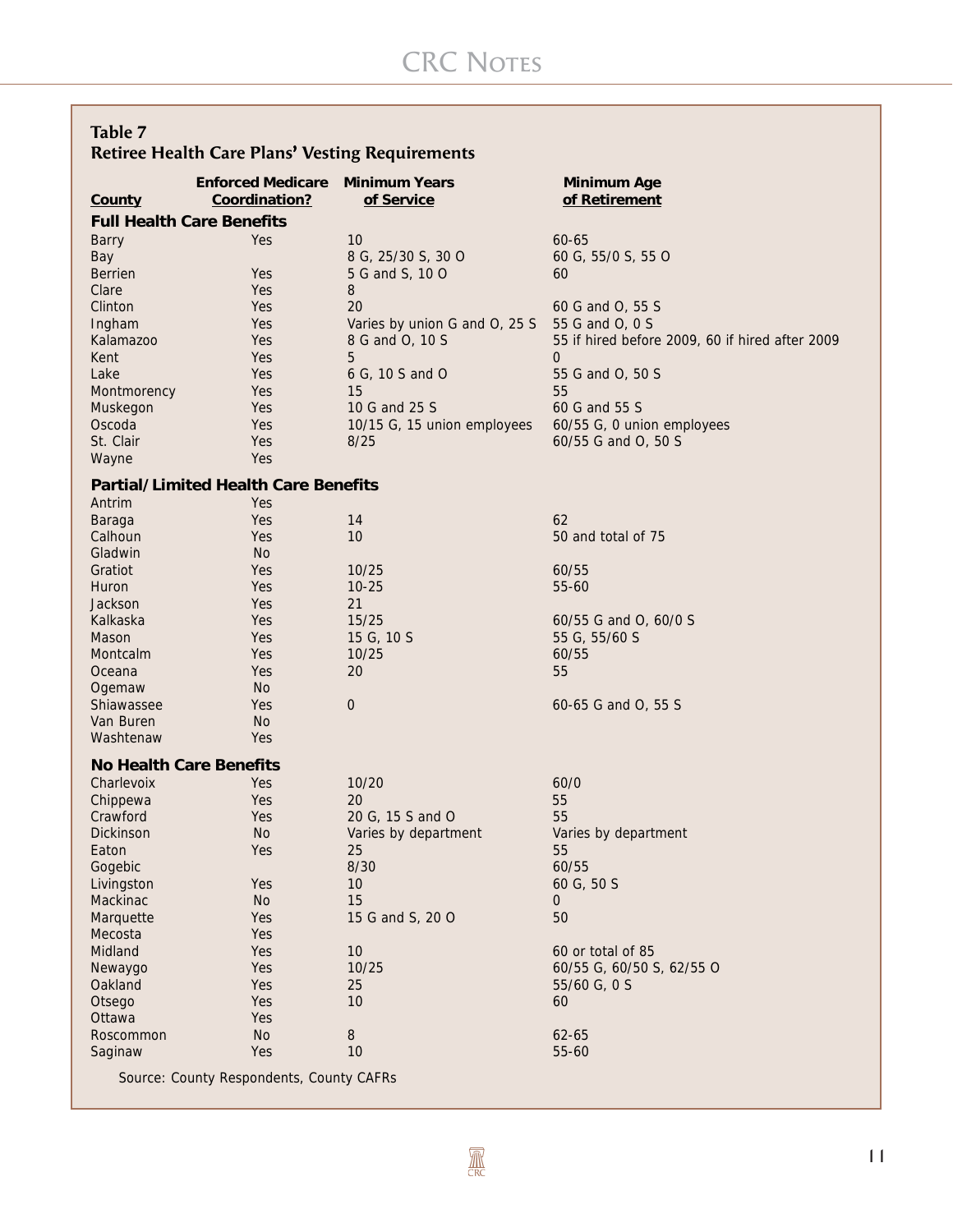### **Table 7 Retiree Health Care Plans' Vesting Requirements '**

| <b>Full Health Care Benefits</b><br>10<br>Yes<br>$60 - 65$<br><b>Barry</b><br>Bay<br>8 G, 25/30 S, 30 O<br>60 G, 55/0 S, 55 O<br><b>Berrien</b><br>5 G and S, 10 O<br>Yes<br>60<br>8<br>Clare<br>Yes<br>20<br>Clinton<br>Yes<br>60 G and O, 55 S<br>55 G and O, 0 S<br>Ingham<br>Varies by union G and O, 25 S<br>Yes<br>8 G and O, 10 S<br>55 if hired before 2009, 60 if hired after 2009<br><b>Kalamazoo</b><br>Yes<br>Yes<br>5<br>Kent<br>$\overline{0}$<br>Lake<br>Yes<br>6 G, 10 S and O<br>55 G and O, 50 S<br>55<br>Yes<br>15<br>Montmorency<br>Yes<br>10 G and 25 S<br>60 G and 55 S<br>Muskegon<br>Oscoda<br>60/55 G, 0 union employees<br>Yes<br>10/15 G, 15 union employees<br>St. Clair<br>Yes<br>60/55 G and O, 50 S<br>8/25<br>Yes<br>Wayne<br><b>Partial/Limited Health Care Benefits</b><br>Antrim<br>Yes<br>62<br>Yes<br>14<br>Baraga<br>10<br>Calhoun<br>Yes<br>50 and total of 75<br>Gladwin<br>No.<br>Gratiot<br>Yes<br>10/25<br>60/55<br>Yes<br>$10 - 25$<br>55-60<br>Huron<br>21<br>Jackson<br>Yes<br>15/25<br>Kalkaska<br>Yes<br>60/55 G and O, 60/0 S<br>55 G, 55/60 S<br>Mason<br>Yes<br>15 G, 10 S<br>10/25<br>Montcalm<br>Yes<br>60/55<br>55<br>Oceana<br>Yes<br>20<br>Ogemaw<br>No.<br>$\overline{0}$<br>Shiawassee<br>Yes<br>60-65 G and O, 55 S<br>Van Buren<br><b>No</b><br>Washtenaw<br>Yes<br><b>No Health Care Benefits</b><br>10/20<br>Charlevoix<br>Yes<br>60/0<br>20<br>55<br>Chippewa<br>Yes<br>Crawford<br>55<br>Yes<br>20 G, 15 S and O<br>Dickinson<br><b>No</b><br>Varies by department<br>Varies by department<br>Yes<br>25<br>55<br>Eaton<br>8/30<br>60/55<br>Gogebic<br>Livingston<br>Yes<br>10<br>60 G, 50 S<br>15<br>Mackinac<br>No<br>0<br>Yes<br>50<br>Marquette<br>15 G and S, 20 O | County | <b>Enforced Medicare</b><br>Coordination? | <b>Minimum Years</b><br>of Service | <b>Minimum Age</b><br>of Retirement |
|----------------------------------------------------------------------------------------------------------------------------------------------------------------------------------------------------------------------------------------------------------------------------------------------------------------------------------------------------------------------------------------------------------------------------------------------------------------------------------------------------------------------------------------------------------------------------------------------------------------------------------------------------------------------------------------------------------------------------------------------------------------------------------------------------------------------------------------------------------------------------------------------------------------------------------------------------------------------------------------------------------------------------------------------------------------------------------------------------------------------------------------------------------------------------------------------------------------------------------------------------------------------------------------------------------------------------------------------------------------------------------------------------------------------------------------------------------------------------------------------------------------------------------------------------------------------------------------------------------------------------------------------------------------------------------------------------------------------------------------|--------|-------------------------------------------|------------------------------------|-------------------------------------|
|                                                                                                                                                                                                                                                                                                                                                                                                                                                                                                                                                                                                                                                                                                                                                                                                                                                                                                                                                                                                                                                                                                                                                                                                                                                                                                                                                                                                                                                                                                                                                                                                                                                                                                                                        |        |                                           |                                    |                                     |
|                                                                                                                                                                                                                                                                                                                                                                                                                                                                                                                                                                                                                                                                                                                                                                                                                                                                                                                                                                                                                                                                                                                                                                                                                                                                                                                                                                                                                                                                                                                                                                                                                                                                                                                                        |        |                                           |                                    |                                     |
|                                                                                                                                                                                                                                                                                                                                                                                                                                                                                                                                                                                                                                                                                                                                                                                                                                                                                                                                                                                                                                                                                                                                                                                                                                                                                                                                                                                                                                                                                                                                                                                                                                                                                                                                        |        |                                           |                                    |                                     |
|                                                                                                                                                                                                                                                                                                                                                                                                                                                                                                                                                                                                                                                                                                                                                                                                                                                                                                                                                                                                                                                                                                                                                                                                                                                                                                                                                                                                                                                                                                                                                                                                                                                                                                                                        |        |                                           |                                    |                                     |
|                                                                                                                                                                                                                                                                                                                                                                                                                                                                                                                                                                                                                                                                                                                                                                                                                                                                                                                                                                                                                                                                                                                                                                                                                                                                                                                                                                                                                                                                                                                                                                                                                                                                                                                                        |        |                                           |                                    |                                     |
|                                                                                                                                                                                                                                                                                                                                                                                                                                                                                                                                                                                                                                                                                                                                                                                                                                                                                                                                                                                                                                                                                                                                                                                                                                                                                                                                                                                                                                                                                                                                                                                                                                                                                                                                        |        |                                           |                                    |                                     |
|                                                                                                                                                                                                                                                                                                                                                                                                                                                                                                                                                                                                                                                                                                                                                                                                                                                                                                                                                                                                                                                                                                                                                                                                                                                                                                                                                                                                                                                                                                                                                                                                                                                                                                                                        |        |                                           |                                    |                                     |
|                                                                                                                                                                                                                                                                                                                                                                                                                                                                                                                                                                                                                                                                                                                                                                                                                                                                                                                                                                                                                                                                                                                                                                                                                                                                                                                                                                                                                                                                                                                                                                                                                                                                                                                                        |        |                                           |                                    |                                     |
|                                                                                                                                                                                                                                                                                                                                                                                                                                                                                                                                                                                                                                                                                                                                                                                                                                                                                                                                                                                                                                                                                                                                                                                                                                                                                                                                                                                                                                                                                                                                                                                                                                                                                                                                        |        |                                           |                                    |                                     |
|                                                                                                                                                                                                                                                                                                                                                                                                                                                                                                                                                                                                                                                                                                                                                                                                                                                                                                                                                                                                                                                                                                                                                                                                                                                                                                                                                                                                                                                                                                                                                                                                                                                                                                                                        |        |                                           |                                    |                                     |
|                                                                                                                                                                                                                                                                                                                                                                                                                                                                                                                                                                                                                                                                                                                                                                                                                                                                                                                                                                                                                                                                                                                                                                                                                                                                                                                                                                                                                                                                                                                                                                                                                                                                                                                                        |        |                                           |                                    |                                     |
|                                                                                                                                                                                                                                                                                                                                                                                                                                                                                                                                                                                                                                                                                                                                                                                                                                                                                                                                                                                                                                                                                                                                                                                                                                                                                                                                                                                                                                                                                                                                                                                                                                                                                                                                        |        |                                           |                                    |                                     |
|                                                                                                                                                                                                                                                                                                                                                                                                                                                                                                                                                                                                                                                                                                                                                                                                                                                                                                                                                                                                                                                                                                                                                                                                                                                                                                                                                                                                                                                                                                                                                                                                                                                                                                                                        |        |                                           |                                    |                                     |
|                                                                                                                                                                                                                                                                                                                                                                                                                                                                                                                                                                                                                                                                                                                                                                                                                                                                                                                                                                                                                                                                                                                                                                                                                                                                                                                                                                                                                                                                                                                                                                                                                                                                                                                                        |        |                                           |                                    |                                     |
|                                                                                                                                                                                                                                                                                                                                                                                                                                                                                                                                                                                                                                                                                                                                                                                                                                                                                                                                                                                                                                                                                                                                                                                                                                                                                                                                                                                                                                                                                                                                                                                                                                                                                                                                        |        |                                           |                                    |                                     |
|                                                                                                                                                                                                                                                                                                                                                                                                                                                                                                                                                                                                                                                                                                                                                                                                                                                                                                                                                                                                                                                                                                                                                                                                                                                                                                                                                                                                                                                                                                                                                                                                                                                                                                                                        |        |                                           |                                    |                                     |
|                                                                                                                                                                                                                                                                                                                                                                                                                                                                                                                                                                                                                                                                                                                                                                                                                                                                                                                                                                                                                                                                                                                                                                                                                                                                                                                                                                                                                                                                                                                                                                                                                                                                                                                                        |        |                                           |                                    |                                     |
|                                                                                                                                                                                                                                                                                                                                                                                                                                                                                                                                                                                                                                                                                                                                                                                                                                                                                                                                                                                                                                                                                                                                                                                                                                                                                                                                                                                                                                                                                                                                                                                                                                                                                                                                        |        |                                           |                                    |                                     |
|                                                                                                                                                                                                                                                                                                                                                                                                                                                                                                                                                                                                                                                                                                                                                                                                                                                                                                                                                                                                                                                                                                                                                                                                                                                                                                                                                                                                                                                                                                                                                                                                                                                                                                                                        |        |                                           |                                    |                                     |
|                                                                                                                                                                                                                                                                                                                                                                                                                                                                                                                                                                                                                                                                                                                                                                                                                                                                                                                                                                                                                                                                                                                                                                                                                                                                                                                                                                                                                                                                                                                                                                                                                                                                                                                                        |        |                                           |                                    |                                     |
|                                                                                                                                                                                                                                                                                                                                                                                                                                                                                                                                                                                                                                                                                                                                                                                                                                                                                                                                                                                                                                                                                                                                                                                                                                                                                                                                                                                                                                                                                                                                                                                                                                                                                                                                        |        |                                           |                                    |                                     |
|                                                                                                                                                                                                                                                                                                                                                                                                                                                                                                                                                                                                                                                                                                                                                                                                                                                                                                                                                                                                                                                                                                                                                                                                                                                                                                                                                                                                                                                                                                                                                                                                                                                                                                                                        |        |                                           |                                    |                                     |
|                                                                                                                                                                                                                                                                                                                                                                                                                                                                                                                                                                                                                                                                                                                                                                                                                                                                                                                                                                                                                                                                                                                                                                                                                                                                                                                                                                                                                                                                                                                                                                                                                                                                                                                                        |        |                                           |                                    |                                     |
|                                                                                                                                                                                                                                                                                                                                                                                                                                                                                                                                                                                                                                                                                                                                                                                                                                                                                                                                                                                                                                                                                                                                                                                                                                                                                                                                                                                                                                                                                                                                                                                                                                                                                                                                        |        |                                           |                                    |                                     |
|                                                                                                                                                                                                                                                                                                                                                                                                                                                                                                                                                                                                                                                                                                                                                                                                                                                                                                                                                                                                                                                                                                                                                                                                                                                                                                                                                                                                                                                                                                                                                                                                                                                                                                                                        |        |                                           |                                    |                                     |
|                                                                                                                                                                                                                                                                                                                                                                                                                                                                                                                                                                                                                                                                                                                                                                                                                                                                                                                                                                                                                                                                                                                                                                                                                                                                                                                                                                                                                                                                                                                                                                                                                                                                                                                                        |        |                                           |                                    |                                     |
|                                                                                                                                                                                                                                                                                                                                                                                                                                                                                                                                                                                                                                                                                                                                                                                                                                                                                                                                                                                                                                                                                                                                                                                                                                                                                                                                                                                                                                                                                                                                                                                                                                                                                                                                        |        |                                           |                                    |                                     |
|                                                                                                                                                                                                                                                                                                                                                                                                                                                                                                                                                                                                                                                                                                                                                                                                                                                                                                                                                                                                                                                                                                                                                                                                                                                                                                                                                                                                                                                                                                                                                                                                                                                                                                                                        |        |                                           |                                    |                                     |
|                                                                                                                                                                                                                                                                                                                                                                                                                                                                                                                                                                                                                                                                                                                                                                                                                                                                                                                                                                                                                                                                                                                                                                                                                                                                                                                                                                                                                                                                                                                                                                                                                                                                                                                                        |        |                                           |                                    |                                     |
|                                                                                                                                                                                                                                                                                                                                                                                                                                                                                                                                                                                                                                                                                                                                                                                                                                                                                                                                                                                                                                                                                                                                                                                                                                                                                                                                                                                                                                                                                                                                                                                                                                                                                                                                        |        |                                           |                                    |                                     |
|                                                                                                                                                                                                                                                                                                                                                                                                                                                                                                                                                                                                                                                                                                                                                                                                                                                                                                                                                                                                                                                                                                                                                                                                                                                                                                                                                                                                                                                                                                                                                                                                                                                                                                                                        |        |                                           |                                    |                                     |
|                                                                                                                                                                                                                                                                                                                                                                                                                                                                                                                                                                                                                                                                                                                                                                                                                                                                                                                                                                                                                                                                                                                                                                                                                                                                                                                                                                                                                                                                                                                                                                                                                                                                                                                                        |        |                                           |                                    |                                     |
|                                                                                                                                                                                                                                                                                                                                                                                                                                                                                                                                                                                                                                                                                                                                                                                                                                                                                                                                                                                                                                                                                                                                                                                                                                                                                                                                                                                                                                                                                                                                                                                                                                                                                                                                        |        |                                           |                                    |                                     |
|                                                                                                                                                                                                                                                                                                                                                                                                                                                                                                                                                                                                                                                                                                                                                                                                                                                                                                                                                                                                                                                                                                                                                                                                                                                                                                                                                                                                                                                                                                                                                                                                                                                                                                                                        |        |                                           |                                    |                                     |
|                                                                                                                                                                                                                                                                                                                                                                                                                                                                                                                                                                                                                                                                                                                                                                                                                                                                                                                                                                                                                                                                                                                                                                                                                                                                                                                                                                                                                                                                                                                                                                                                                                                                                                                                        |        |                                           |                                    |                                     |
|                                                                                                                                                                                                                                                                                                                                                                                                                                                                                                                                                                                                                                                                                                                                                                                                                                                                                                                                                                                                                                                                                                                                                                                                                                                                                                                                                                                                                                                                                                                                                                                                                                                                                                                                        |        |                                           |                                    |                                     |
|                                                                                                                                                                                                                                                                                                                                                                                                                                                                                                                                                                                                                                                                                                                                                                                                                                                                                                                                                                                                                                                                                                                                                                                                                                                                                                                                                                                                                                                                                                                                                                                                                                                                                                                                        |        |                                           |                                    |                                     |
|                                                                                                                                                                                                                                                                                                                                                                                                                                                                                                                                                                                                                                                                                                                                                                                                                                                                                                                                                                                                                                                                                                                                                                                                                                                                                                                                                                                                                                                                                                                                                                                                                                                                                                                                        |        |                                           |                                    |                                     |
|                                                                                                                                                                                                                                                                                                                                                                                                                                                                                                                                                                                                                                                                                                                                                                                                                                                                                                                                                                                                                                                                                                                                                                                                                                                                                                                                                                                                                                                                                                                                                                                                                                                                                                                                        |        |                                           |                                    |                                     |
|                                                                                                                                                                                                                                                                                                                                                                                                                                                                                                                                                                                                                                                                                                                                                                                                                                                                                                                                                                                                                                                                                                                                                                                                                                                                                                                                                                                                                                                                                                                                                                                                                                                                                                                                        |        |                                           |                                    |                                     |
|                                                                                                                                                                                                                                                                                                                                                                                                                                                                                                                                                                                                                                                                                                                                                                                                                                                                                                                                                                                                                                                                                                                                                                                                                                                                                                                                                                                                                                                                                                                                                                                                                                                                                                                                        |        |                                           |                                    |                                     |
|                                                                                                                                                                                                                                                                                                                                                                                                                                                                                                                                                                                                                                                                                                                                                                                                                                                                                                                                                                                                                                                                                                                                                                                                                                                                                                                                                                                                                                                                                                                                                                                                                                                                                                                                        |        |                                           |                                    |                                     |
|                                                                                                                                                                                                                                                                                                                                                                                                                                                                                                                                                                                                                                                                                                                                                                                                                                                                                                                                                                                                                                                                                                                                                                                                                                                                                                                                                                                                                                                                                                                                                                                                                                                                                                                                        |        |                                           |                                    |                                     |
| Mecosta<br>Yes                                                                                                                                                                                                                                                                                                                                                                                                                                                                                                                                                                                                                                                                                                                                                                                                                                                                                                                                                                                                                                                                                                                                                                                                                                                                                                                                                                                                                                                                                                                                                                                                                                                                                                                         |        |                                           |                                    |                                     |
| Midland<br>Yes<br>10<br>60 or total of 85                                                                                                                                                                                                                                                                                                                                                                                                                                                                                                                                                                                                                                                                                                                                                                                                                                                                                                                                                                                                                                                                                                                                                                                                                                                                                                                                                                                                                                                                                                                                                                                                                                                                                              |        |                                           |                                    |                                     |
| 10/25<br>60/55 G, 60/50 S, 62/55 O<br>Newaygo<br>Yes                                                                                                                                                                                                                                                                                                                                                                                                                                                                                                                                                                                                                                                                                                                                                                                                                                                                                                                                                                                                                                                                                                                                                                                                                                                                                                                                                                                                                                                                                                                                                                                                                                                                                   |        |                                           |                                    |                                     |
| Oakland<br>25<br>Yes<br>55/60 G, 0 S                                                                                                                                                                                                                                                                                                                                                                                                                                                                                                                                                                                                                                                                                                                                                                                                                                                                                                                                                                                                                                                                                                                                                                                                                                                                                                                                                                                                                                                                                                                                                                                                                                                                                                   |        |                                           |                                    |                                     |
| Yes<br>10<br>Otsego<br>60                                                                                                                                                                                                                                                                                                                                                                                                                                                                                                                                                                                                                                                                                                                                                                                                                                                                                                                                                                                                                                                                                                                                                                                                                                                                                                                                                                                                                                                                                                                                                                                                                                                                                                              |        |                                           |                                    |                                     |
| Yes<br>Ottawa                                                                                                                                                                                                                                                                                                                                                                                                                                                                                                                                                                                                                                                                                                                                                                                                                                                                                                                                                                                                                                                                                                                                                                                                                                                                                                                                                                                                                                                                                                                                                                                                                                                                                                                          |        |                                           |                                    |                                     |
| No<br>$\, 8$<br>Roscommon<br>62-65                                                                                                                                                                                                                                                                                                                                                                                                                                                                                                                                                                                                                                                                                                                                                                                                                                                                                                                                                                                                                                                                                                                                                                                                                                                                                                                                                                                                                                                                                                                                                                                                                                                                                                     |        |                                           |                                    |                                     |
| 10<br>55-60<br>Yes<br>Saginaw                                                                                                                                                                                                                                                                                                                                                                                                                                                                                                                                                                                                                                                                                                                                                                                                                                                                                                                                                                                                                                                                                                                                                                                                                                                                                                                                                                                                                                                                                                                                                                                                                                                                                                          |        |                                           |                                    |                                     |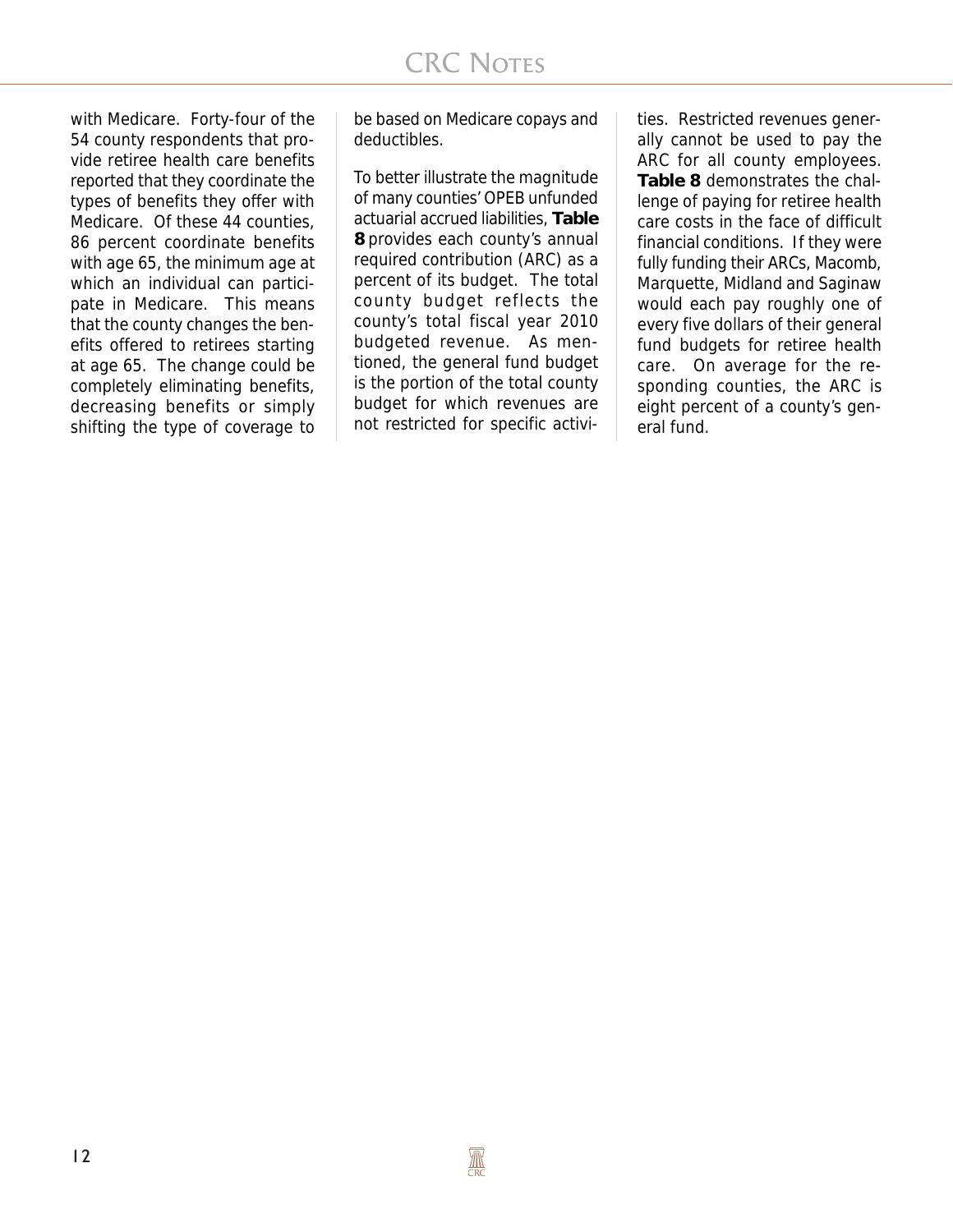with Medicare. Forty-four of the 54 county respondents that provide retiree health care benefits reported that they coordinate the types of benefits they offer with Medicare. Of these 44 counties, 86 percent coordinate benefits with age 65, the minimum age at which an individual can participate in Medicare. This means that the county changes the benefits offered to retirees starting at age 65. The change could be completely eliminating benefits, decreasing benefits or simply shifting the type of coverage to

be based on Medicare copays and deductibles.

To better illustrate the magnitude of many counties' OPEB unfunded actuarial accrued liabilities, **Table 8** provides each county's annual required contribution (ARC) as a percent of its budget. The total county budget reflects the county's total fiscal year 2010 budgeted revenue. As mentioned, the general fund budget is the portion of the total county budget for which revenues are not restricted for specific activi-

ties. Restricted revenues generally cannot be used to pay the ARC for all county employees. **Table 8** demonstrates the challenge of paying for retiree health care costs in the face of difficult financial conditions. If they were fully funding their ARCs, Macomb, Marquette, Midland and Saginaw would each pay roughly one of every five dollars of their general fund budgets for retiree health care. On average for the responding counties, the ARC is eight percent of a county's general fund.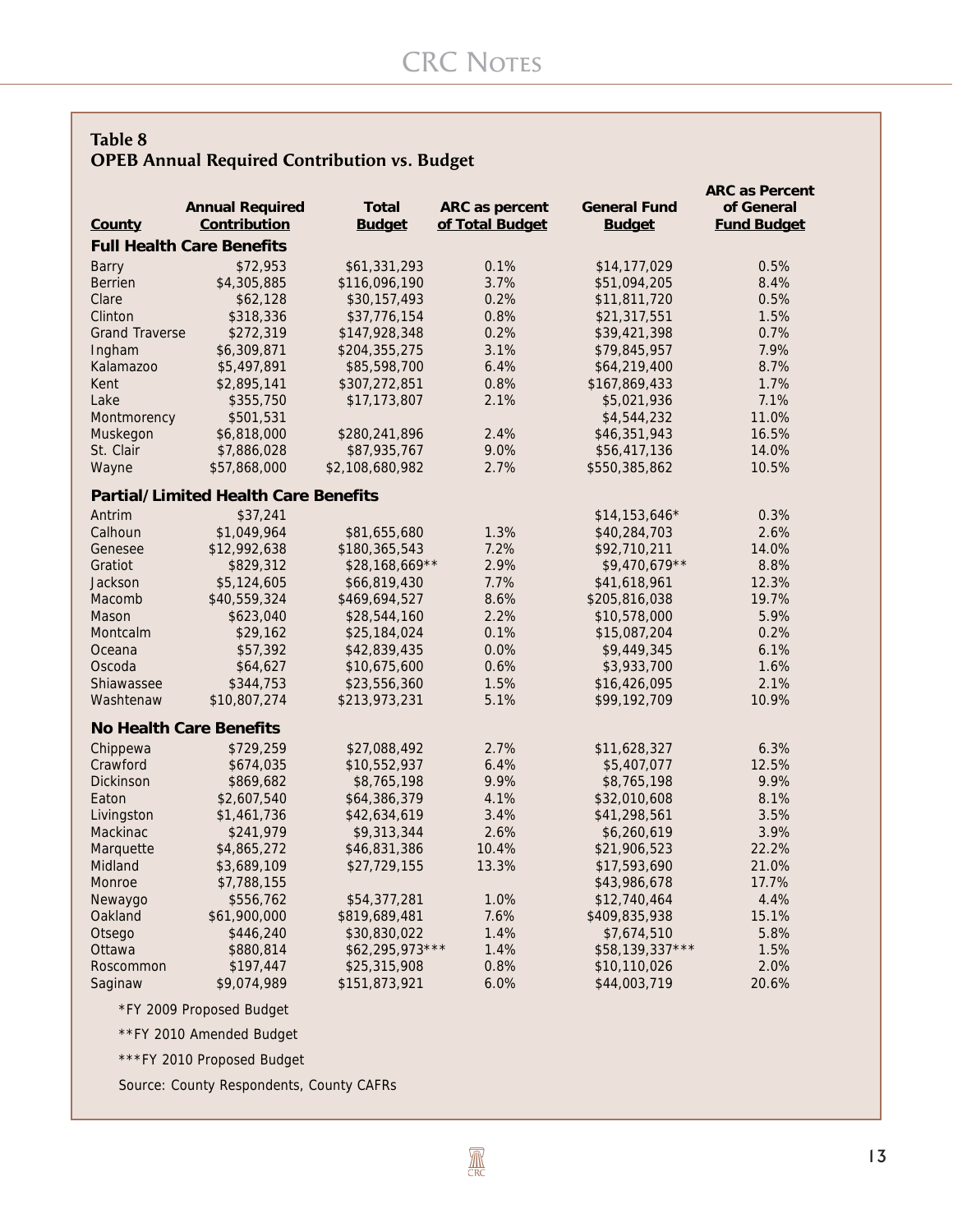#### **Table 8 OPEB Annual Required Contribution vs. Budget**

| ARC as percent<br>Contribution<br><b>Budget</b><br>of Total Budget<br><b>Budget</b><br><b>Fund Budget</b><br>County<br><b>Full Health Care Benefits</b><br>\$72,953<br>\$61,331,293<br>0.1%<br>\$14,177,029<br>0.5%<br><b>Barry</b><br>\$4,305,885<br>\$116,096,190<br>3.7%<br>8.4%<br><b>Berrien</b><br>\$51,094,205<br>0.2%<br>0.5%<br>Clare<br>\$62,128<br>\$30,157,493<br>\$11,811,720<br>0.8%<br>1.5%<br>Clinton<br>\$318,336<br>\$37,776,154<br>\$21,317,551<br>0.2%<br>0.7%<br><b>Grand Traverse</b><br>\$272,319<br>\$147,928,348<br>\$39,421,398<br>3.1%<br>7.9%<br>\$6,309,871<br>\$204,355,275<br>\$79,845,957<br>Ingham<br>\$5,497,891<br>6.4%<br>8.7%<br>Kalamazoo<br>\$85,598,700<br>\$64,219,400<br>0.8%<br>1.7%<br>Kent<br>\$2,895,141<br>\$307,272,851<br>\$167,869,433<br>2.1%<br>7.1%<br>Lake<br>\$355,750<br>\$17,173,807<br>\$5,021,936<br>11.0%<br>\$501,531<br>\$4,544,232<br>Montmorency<br>2.4%<br>16.5%<br>\$280,241,896<br>Muskegon<br>\$6,818,000<br>\$46,351,943<br>\$87,935,767<br>9.0%<br>14.0%<br>St. Clair<br>\$7,886,028<br>\$56,417,136<br>2.7%<br>10.5%<br>Wayne<br>\$57,868,000<br>\$2,108,680,982<br>\$550,385,862<br><b>Partial/Limited Health Care Benefits</b><br>Antrim<br>\$37,241<br>0.3%<br>$$14,153,646*$<br>\$1,049,964<br>1.3%<br>2.6%<br>Calhoun<br>\$81,655,680<br>\$40,284,703<br>7.2%<br>14.0%<br>\$12,992,638<br>\$180,365,543<br>\$92,710,211<br>Genesee<br>2.9%<br>8.8%<br>Gratiot<br>\$829,312<br>$$28,168,669**$<br>$$9,470,679**$<br>7.7%<br>12.3%<br>Jackson<br>\$5,124,605<br>\$66,819,430<br>\$41,618,961<br>\$40,559,324<br>8.6%<br>19.7%<br>Macomb<br>\$469,694,527<br>\$205,816,038<br>2.2%<br>5.9%<br>\$623,040<br>\$28,544,160<br>\$10,578,000<br>Mason<br>0.1%<br>0.2%<br>\$29,162<br>\$15,087,204<br>Montcalm<br>\$25,184,024<br>Oceana<br>\$57,392<br>\$42,839,435<br>0.0%<br>\$9,449,345<br>6.1%<br>0.6%<br>1.6%<br>Oscoda<br>\$64,627<br>\$10,675,600<br>\$3,933,700<br>2.1%<br>\$344,753<br>1.5%<br>Shiawassee<br>\$23,556,360<br>\$16,426,095<br>\$10,807,274<br>5.1%<br>10.9%<br>Washtenaw<br>\$213,973,231<br>\$99,192,709<br><b>No Health Care Benefits</b><br>Chippewa<br>\$729,259<br>2.7%<br>6.3%<br>\$27,088,492<br>\$11,628,327<br>Crawford<br>6.4%<br>12.5%<br>\$674,035<br>\$10,552,937<br>\$5,407,077<br>9.9%<br><b>Dickinson</b><br>\$869,682<br>\$8,765,198<br>\$8,765,198<br>9.9%<br>\$2,607,540<br>\$64,386,379<br>4.1%<br>8.1%<br>Eaton<br>\$32,010,608<br>3.4%<br>3.5%<br>\$1,461,736<br>\$42,634,619<br>\$41,298,561<br>Livingston<br>2.6%<br>3.9%<br>Mackinac<br>\$241,979<br>\$9,313,344<br>\$6,260,619<br>10.4%<br>\$4,865,272<br>\$46,831,386<br>\$21,906,523<br>22.2%<br>Marquette<br>21.0%<br>Midland<br>\$3,689,109<br>\$27,729,155<br>13.3%<br>\$17,593,690<br>17.7%<br>Monroe<br>\$7,788,155<br>\$43,986,678<br>4.4%<br>\$556,762<br>\$54,377,281<br>1.0%<br>\$12,740,464<br>Newaygo<br>7.6%<br>Oakland<br>\$61,900,000<br>\$819,689,481<br>\$409,835,938<br>15.1%<br>1.4%<br>5.8%<br>Otsego<br>\$446,240<br>\$30,830,022<br>\$7,674,510<br>$$62,295,973***$<br>1.4%<br>\$58,139,337***<br>1.5%<br>Ottawa<br>\$880,814<br>0.8%<br>2.0%<br>Roscommon<br>\$197,447<br>\$25,315,908<br>\$10,110,026 |         |                        |               |      |                     | <b>ARC as Percent</b> |
|------------------------------------------------------------------------------------------------------------------------------------------------------------------------------------------------------------------------------------------------------------------------------------------------------------------------------------------------------------------------------------------------------------------------------------------------------------------------------------------------------------------------------------------------------------------------------------------------------------------------------------------------------------------------------------------------------------------------------------------------------------------------------------------------------------------------------------------------------------------------------------------------------------------------------------------------------------------------------------------------------------------------------------------------------------------------------------------------------------------------------------------------------------------------------------------------------------------------------------------------------------------------------------------------------------------------------------------------------------------------------------------------------------------------------------------------------------------------------------------------------------------------------------------------------------------------------------------------------------------------------------------------------------------------------------------------------------------------------------------------------------------------------------------------------------------------------------------------------------------------------------------------------------------------------------------------------------------------------------------------------------------------------------------------------------------------------------------------------------------------------------------------------------------------------------------------------------------------------------------------------------------------------------------------------------------------------------------------------------------------------------------------------------------------------------------------------------------------------------------------------------------------------------------------------------------------------------------------------------------------------------------------------------------------------------------------------------------------------------------------------------------------------------------------------------------------------------------------------------------------------------------------------------------------------------------------------------------------------------------------------------------------------------------------------------------------------------------------------------------------------------------------------------------------------------------------------|---------|------------------------|---------------|------|---------------------|-----------------------|
|                                                                                                                                                                                                                                                                                                                                                                                                                                                                                                                                                                                                                                                                                                                                                                                                                                                                                                                                                                                                                                                                                                                                                                                                                                                                                                                                                                                                                                                                                                                                                                                                                                                                                                                                                                                                                                                                                                                                                                                                                                                                                                                                                                                                                                                                                                                                                                                                                                                                                                                                                                                                                                                                                                                                                                                                                                                                                                                                                                                                                                                                                                                                                                                                      |         | <b>Annual Required</b> | <b>Total</b>  |      | <b>General Fund</b> | of General            |
|                                                                                                                                                                                                                                                                                                                                                                                                                                                                                                                                                                                                                                                                                                                                                                                                                                                                                                                                                                                                                                                                                                                                                                                                                                                                                                                                                                                                                                                                                                                                                                                                                                                                                                                                                                                                                                                                                                                                                                                                                                                                                                                                                                                                                                                                                                                                                                                                                                                                                                                                                                                                                                                                                                                                                                                                                                                                                                                                                                                                                                                                                                                                                                                                      |         |                        |               |      |                     |                       |
|                                                                                                                                                                                                                                                                                                                                                                                                                                                                                                                                                                                                                                                                                                                                                                                                                                                                                                                                                                                                                                                                                                                                                                                                                                                                                                                                                                                                                                                                                                                                                                                                                                                                                                                                                                                                                                                                                                                                                                                                                                                                                                                                                                                                                                                                                                                                                                                                                                                                                                                                                                                                                                                                                                                                                                                                                                                                                                                                                                                                                                                                                                                                                                                                      |         |                        |               |      |                     |                       |
|                                                                                                                                                                                                                                                                                                                                                                                                                                                                                                                                                                                                                                                                                                                                                                                                                                                                                                                                                                                                                                                                                                                                                                                                                                                                                                                                                                                                                                                                                                                                                                                                                                                                                                                                                                                                                                                                                                                                                                                                                                                                                                                                                                                                                                                                                                                                                                                                                                                                                                                                                                                                                                                                                                                                                                                                                                                                                                                                                                                                                                                                                                                                                                                                      |         |                        |               |      |                     |                       |
|                                                                                                                                                                                                                                                                                                                                                                                                                                                                                                                                                                                                                                                                                                                                                                                                                                                                                                                                                                                                                                                                                                                                                                                                                                                                                                                                                                                                                                                                                                                                                                                                                                                                                                                                                                                                                                                                                                                                                                                                                                                                                                                                                                                                                                                                                                                                                                                                                                                                                                                                                                                                                                                                                                                                                                                                                                                                                                                                                                                                                                                                                                                                                                                                      |         |                        |               |      |                     |                       |
|                                                                                                                                                                                                                                                                                                                                                                                                                                                                                                                                                                                                                                                                                                                                                                                                                                                                                                                                                                                                                                                                                                                                                                                                                                                                                                                                                                                                                                                                                                                                                                                                                                                                                                                                                                                                                                                                                                                                                                                                                                                                                                                                                                                                                                                                                                                                                                                                                                                                                                                                                                                                                                                                                                                                                                                                                                                                                                                                                                                                                                                                                                                                                                                                      |         |                        |               |      |                     |                       |
|                                                                                                                                                                                                                                                                                                                                                                                                                                                                                                                                                                                                                                                                                                                                                                                                                                                                                                                                                                                                                                                                                                                                                                                                                                                                                                                                                                                                                                                                                                                                                                                                                                                                                                                                                                                                                                                                                                                                                                                                                                                                                                                                                                                                                                                                                                                                                                                                                                                                                                                                                                                                                                                                                                                                                                                                                                                                                                                                                                                                                                                                                                                                                                                                      |         |                        |               |      |                     |                       |
|                                                                                                                                                                                                                                                                                                                                                                                                                                                                                                                                                                                                                                                                                                                                                                                                                                                                                                                                                                                                                                                                                                                                                                                                                                                                                                                                                                                                                                                                                                                                                                                                                                                                                                                                                                                                                                                                                                                                                                                                                                                                                                                                                                                                                                                                                                                                                                                                                                                                                                                                                                                                                                                                                                                                                                                                                                                                                                                                                                                                                                                                                                                                                                                                      |         |                        |               |      |                     |                       |
|                                                                                                                                                                                                                                                                                                                                                                                                                                                                                                                                                                                                                                                                                                                                                                                                                                                                                                                                                                                                                                                                                                                                                                                                                                                                                                                                                                                                                                                                                                                                                                                                                                                                                                                                                                                                                                                                                                                                                                                                                                                                                                                                                                                                                                                                                                                                                                                                                                                                                                                                                                                                                                                                                                                                                                                                                                                                                                                                                                                                                                                                                                                                                                                                      |         |                        |               |      |                     |                       |
|                                                                                                                                                                                                                                                                                                                                                                                                                                                                                                                                                                                                                                                                                                                                                                                                                                                                                                                                                                                                                                                                                                                                                                                                                                                                                                                                                                                                                                                                                                                                                                                                                                                                                                                                                                                                                                                                                                                                                                                                                                                                                                                                                                                                                                                                                                                                                                                                                                                                                                                                                                                                                                                                                                                                                                                                                                                                                                                                                                                                                                                                                                                                                                                                      |         |                        |               |      |                     |                       |
|                                                                                                                                                                                                                                                                                                                                                                                                                                                                                                                                                                                                                                                                                                                                                                                                                                                                                                                                                                                                                                                                                                                                                                                                                                                                                                                                                                                                                                                                                                                                                                                                                                                                                                                                                                                                                                                                                                                                                                                                                                                                                                                                                                                                                                                                                                                                                                                                                                                                                                                                                                                                                                                                                                                                                                                                                                                                                                                                                                                                                                                                                                                                                                                                      |         |                        |               |      |                     |                       |
|                                                                                                                                                                                                                                                                                                                                                                                                                                                                                                                                                                                                                                                                                                                                                                                                                                                                                                                                                                                                                                                                                                                                                                                                                                                                                                                                                                                                                                                                                                                                                                                                                                                                                                                                                                                                                                                                                                                                                                                                                                                                                                                                                                                                                                                                                                                                                                                                                                                                                                                                                                                                                                                                                                                                                                                                                                                                                                                                                                                                                                                                                                                                                                                                      |         |                        |               |      |                     |                       |
|                                                                                                                                                                                                                                                                                                                                                                                                                                                                                                                                                                                                                                                                                                                                                                                                                                                                                                                                                                                                                                                                                                                                                                                                                                                                                                                                                                                                                                                                                                                                                                                                                                                                                                                                                                                                                                                                                                                                                                                                                                                                                                                                                                                                                                                                                                                                                                                                                                                                                                                                                                                                                                                                                                                                                                                                                                                                                                                                                                                                                                                                                                                                                                                                      |         |                        |               |      |                     |                       |
|                                                                                                                                                                                                                                                                                                                                                                                                                                                                                                                                                                                                                                                                                                                                                                                                                                                                                                                                                                                                                                                                                                                                                                                                                                                                                                                                                                                                                                                                                                                                                                                                                                                                                                                                                                                                                                                                                                                                                                                                                                                                                                                                                                                                                                                                                                                                                                                                                                                                                                                                                                                                                                                                                                                                                                                                                                                                                                                                                                                                                                                                                                                                                                                                      |         |                        |               |      |                     |                       |
|                                                                                                                                                                                                                                                                                                                                                                                                                                                                                                                                                                                                                                                                                                                                                                                                                                                                                                                                                                                                                                                                                                                                                                                                                                                                                                                                                                                                                                                                                                                                                                                                                                                                                                                                                                                                                                                                                                                                                                                                                                                                                                                                                                                                                                                                                                                                                                                                                                                                                                                                                                                                                                                                                                                                                                                                                                                                                                                                                                                                                                                                                                                                                                                                      |         |                        |               |      |                     |                       |
|                                                                                                                                                                                                                                                                                                                                                                                                                                                                                                                                                                                                                                                                                                                                                                                                                                                                                                                                                                                                                                                                                                                                                                                                                                                                                                                                                                                                                                                                                                                                                                                                                                                                                                                                                                                                                                                                                                                                                                                                                                                                                                                                                                                                                                                                                                                                                                                                                                                                                                                                                                                                                                                                                                                                                                                                                                                                                                                                                                                                                                                                                                                                                                                                      |         |                        |               |      |                     |                       |
|                                                                                                                                                                                                                                                                                                                                                                                                                                                                                                                                                                                                                                                                                                                                                                                                                                                                                                                                                                                                                                                                                                                                                                                                                                                                                                                                                                                                                                                                                                                                                                                                                                                                                                                                                                                                                                                                                                                                                                                                                                                                                                                                                                                                                                                                                                                                                                                                                                                                                                                                                                                                                                                                                                                                                                                                                                                                                                                                                                                                                                                                                                                                                                                                      |         |                        |               |      |                     |                       |
|                                                                                                                                                                                                                                                                                                                                                                                                                                                                                                                                                                                                                                                                                                                                                                                                                                                                                                                                                                                                                                                                                                                                                                                                                                                                                                                                                                                                                                                                                                                                                                                                                                                                                                                                                                                                                                                                                                                                                                                                                                                                                                                                                                                                                                                                                                                                                                                                                                                                                                                                                                                                                                                                                                                                                                                                                                                                                                                                                                                                                                                                                                                                                                                                      |         |                        |               |      |                     |                       |
|                                                                                                                                                                                                                                                                                                                                                                                                                                                                                                                                                                                                                                                                                                                                                                                                                                                                                                                                                                                                                                                                                                                                                                                                                                                                                                                                                                                                                                                                                                                                                                                                                                                                                                                                                                                                                                                                                                                                                                                                                                                                                                                                                                                                                                                                                                                                                                                                                                                                                                                                                                                                                                                                                                                                                                                                                                                                                                                                                                                                                                                                                                                                                                                                      |         |                        |               |      |                     |                       |
|                                                                                                                                                                                                                                                                                                                                                                                                                                                                                                                                                                                                                                                                                                                                                                                                                                                                                                                                                                                                                                                                                                                                                                                                                                                                                                                                                                                                                                                                                                                                                                                                                                                                                                                                                                                                                                                                                                                                                                                                                                                                                                                                                                                                                                                                                                                                                                                                                                                                                                                                                                                                                                                                                                                                                                                                                                                                                                                                                                                                                                                                                                                                                                                                      |         |                        |               |      |                     |                       |
|                                                                                                                                                                                                                                                                                                                                                                                                                                                                                                                                                                                                                                                                                                                                                                                                                                                                                                                                                                                                                                                                                                                                                                                                                                                                                                                                                                                                                                                                                                                                                                                                                                                                                                                                                                                                                                                                                                                                                                                                                                                                                                                                                                                                                                                                                                                                                                                                                                                                                                                                                                                                                                                                                                                                                                                                                                                                                                                                                                                                                                                                                                                                                                                                      |         |                        |               |      |                     |                       |
|                                                                                                                                                                                                                                                                                                                                                                                                                                                                                                                                                                                                                                                                                                                                                                                                                                                                                                                                                                                                                                                                                                                                                                                                                                                                                                                                                                                                                                                                                                                                                                                                                                                                                                                                                                                                                                                                                                                                                                                                                                                                                                                                                                                                                                                                                                                                                                                                                                                                                                                                                                                                                                                                                                                                                                                                                                                                                                                                                                                                                                                                                                                                                                                                      |         |                        |               |      |                     |                       |
|                                                                                                                                                                                                                                                                                                                                                                                                                                                                                                                                                                                                                                                                                                                                                                                                                                                                                                                                                                                                                                                                                                                                                                                                                                                                                                                                                                                                                                                                                                                                                                                                                                                                                                                                                                                                                                                                                                                                                                                                                                                                                                                                                                                                                                                                                                                                                                                                                                                                                                                                                                                                                                                                                                                                                                                                                                                                                                                                                                                                                                                                                                                                                                                                      |         |                        |               |      |                     |                       |
|                                                                                                                                                                                                                                                                                                                                                                                                                                                                                                                                                                                                                                                                                                                                                                                                                                                                                                                                                                                                                                                                                                                                                                                                                                                                                                                                                                                                                                                                                                                                                                                                                                                                                                                                                                                                                                                                                                                                                                                                                                                                                                                                                                                                                                                                                                                                                                                                                                                                                                                                                                                                                                                                                                                                                                                                                                                                                                                                                                                                                                                                                                                                                                                                      |         |                        |               |      |                     |                       |
|                                                                                                                                                                                                                                                                                                                                                                                                                                                                                                                                                                                                                                                                                                                                                                                                                                                                                                                                                                                                                                                                                                                                                                                                                                                                                                                                                                                                                                                                                                                                                                                                                                                                                                                                                                                                                                                                                                                                                                                                                                                                                                                                                                                                                                                                                                                                                                                                                                                                                                                                                                                                                                                                                                                                                                                                                                                                                                                                                                                                                                                                                                                                                                                                      |         |                        |               |      |                     |                       |
|                                                                                                                                                                                                                                                                                                                                                                                                                                                                                                                                                                                                                                                                                                                                                                                                                                                                                                                                                                                                                                                                                                                                                                                                                                                                                                                                                                                                                                                                                                                                                                                                                                                                                                                                                                                                                                                                                                                                                                                                                                                                                                                                                                                                                                                                                                                                                                                                                                                                                                                                                                                                                                                                                                                                                                                                                                                                                                                                                                                                                                                                                                                                                                                                      |         |                        |               |      |                     |                       |
|                                                                                                                                                                                                                                                                                                                                                                                                                                                                                                                                                                                                                                                                                                                                                                                                                                                                                                                                                                                                                                                                                                                                                                                                                                                                                                                                                                                                                                                                                                                                                                                                                                                                                                                                                                                                                                                                                                                                                                                                                                                                                                                                                                                                                                                                                                                                                                                                                                                                                                                                                                                                                                                                                                                                                                                                                                                                                                                                                                                                                                                                                                                                                                                                      |         |                        |               |      |                     |                       |
|                                                                                                                                                                                                                                                                                                                                                                                                                                                                                                                                                                                                                                                                                                                                                                                                                                                                                                                                                                                                                                                                                                                                                                                                                                                                                                                                                                                                                                                                                                                                                                                                                                                                                                                                                                                                                                                                                                                                                                                                                                                                                                                                                                                                                                                                                                                                                                                                                                                                                                                                                                                                                                                                                                                                                                                                                                                                                                                                                                                                                                                                                                                                                                                                      |         |                        |               |      |                     |                       |
|                                                                                                                                                                                                                                                                                                                                                                                                                                                                                                                                                                                                                                                                                                                                                                                                                                                                                                                                                                                                                                                                                                                                                                                                                                                                                                                                                                                                                                                                                                                                                                                                                                                                                                                                                                                                                                                                                                                                                                                                                                                                                                                                                                                                                                                                                                                                                                                                                                                                                                                                                                                                                                                                                                                                                                                                                                                                                                                                                                                                                                                                                                                                                                                                      |         |                        |               |      |                     |                       |
|                                                                                                                                                                                                                                                                                                                                                                                                                                                                                                                                                                                                                                                                                                                                                                                                                                                                                                                                                                                                                                                                                                                                                                                                                                                                                                                                                                                                                                                                                                                                                                                                                                                                                                                                                                                                                                                                                                                                                                                                                                                                                                                                                                                                                                                                                                                                                                                                                                                                                                                                                                                                                                                                                                                                                                                                                                                                                                                                                                                                                                                                                                                                                                                                      |         |                        |               |      |                     |                       |
|                                                                                                                                                                                                                                                                                                                                                                                                                                                                                                                                                                                                                                                                                                                                                                                                                                                                                                                                                                                                                                                                                                                                                                                                                                                                                                                                                                                                                                                                                                                                                                                                                                                                                                                                                                                                                                                                                                                                                                                                                                                                                                                                                                                                                                                                                                                                                                                                                                                                                                                                                                                                                                                                                                                                                                                                                                                                                                                                                                                                                                                                                                                                                                                                      |         |                        |               |      |                     |                       |
|                                                                                                                                                                                                                                                                                                                                                                                                                                                                                                                                                                                                                                                                                                                                                                                                                                                                                                                                                                                                                                                                                                                                                                                                                                                                                                                                                                                                                                                                                                                                                                                                                                                                                                                                                                                                                                                                                                                                                                                                                                                                                                                                                                                                                                                                                                                                                                                                                                                                                                                                                                                                                                                                                                                                                                                                                                                                                                                                                                                                                                                                                                                                                                                                      |         |                        |               |      |                     |                       |
|                                                                                                                                                                                                                                                                                                                                                                                                                                                                                                                                                                                                                                                                                                                                                                                                                                                                                                                                                                                                                                                                                                                                                                                                                                                                                                                                                                                                                                                                                                                                                                                                                                                                                                                                                                                                                                                                                                                                                                                                                                                                                                                                                                                                                                                                                                                                                                                                                                                                                                                                                                                                                                                                                                                                                                                                                                                                                                                                                                                                                                                                                                                                                                                                      |         |                        |               |      |                     |                       |
|                                                                                                                                                                                                                                                                                                                                                                                                                                                                                                                                                                                                                                                                                                                                                                                                                                                                                                                                                                                                                                                                                                                                                                                                                                                                                                                                                                                                                                                                                                                                                                                                                                                                                                                                                                                                                                                                                                                                                                                                                                                                                                                                                                                                                                                                                                                                                                                                                                                                                                                                                                                                                                                                                                                                                                                                                                                                                                                                                                                                                                                                                                                                                                                                      |         |                        |               |      |                     |                       |
|                                                                                                                                                                                                                                                                                                                                                                                                                                                                                                                                                                                                                                                                                                                                                                                                                                                                                                                                                                                                                                                                                                                                                                                                                                                                                                                                                                                                                                                                                                                                                                                                                                                                                                                                                                                                                                                                                                                                                                                                                                                                                                                                                                                                                                                                                                                                                                                                                                                                                                                                                                                                                                                                                                                                                                                                                                                                                                                                                                                                                                                                                                                                                                                                      |         |                        |               |      |                     |                       |
|                                                                                                                                                                                                                                                                                                                                                                                                                                                                                                                                                                                                                                                                                                                                                                                                                                                                                                                                                                                                                                                                                                                                                                                                                                                                                                                                                                                                                                                                                                                                                                                                                                                                                                                                                                                                                                                                                                                                                                                                                                                                                                                                                                                                                                                                                                                                                                                                                                                                                                                                                                                                                                                                                                                                                                                                                                                                                                                                                                                                                                                                                                                                                                                                      |         |                        |               |      |                     |                       |
|                                                                                                                                                                                                                                                                                                                                                                                                                                                                                                                                                                                                                                                                                                                                                                                                                                                                                                                                                                                                                                                                                                                                                                                                                                                                                                                                                                                                                                                                                                                                                                                                                                                                                                                                                                                                                                                                                                                                                                                                                                                                                                                                                                                                                                                                                                                                                                                                                                                                                                                                                                                                                                                                                                                                                                                                                                                                                                                                                                                                                                                                                                                                                                                                      |         |                        |               |      |                     |                       |
|                                                                                                                                                                                                                                                                                                                                                                                                                                                                                                                                                                                                                                                                                                                                                                                                                                                                                                                                                                                                                                                                                                                                                                                                                                                                                                                                                                                                                                                                                                                                                                                                                                                                                                                                                                                                                                                                                                                                                                                                                                                                                                                                                                                                                                                                                                                                                                                                                                                                                                                                                                                                                                                                                                                                                                                                                                                                                                                                                                                                                                                                                                                                                                                                      |         |                        |               |      |                     |                       |
|                                                                                                                                                                                                                                                                                                                                                                                                                                                                                                                                                                                                                                                                                                                                                                                                                                                                                                                                                                                                                                                                                                                                                                                                                                                                                                                                                                                                                                                                                                                                                                                                                                                                                                                                                                                                                                                                                                                                                                                                                                                                                                                                                                                                                                                                                                                                                                                                                                                                                                                                                                                                                                                                                                                                                                                                                                                                                                                                                                                                                                                                                                                                                                                                      |         |                        |               |      |                     |                       |
|                                                                                                                                                                                                                                                                                                                                                                                                                                                                                                                                                                                                                                                                                                                                                                                                                                                                                                                                                                                                                                                                                                                                                                                                                                                                                                                                                                                                                                                                                                                                                                                                                                                                                                                                                                                                                                                                                                                                                                                                                                                                                                                                                                                                                                                                                                                                                                                                                                                                                                                                                                                                                                                                                                                                                                                                                                                                                                                                                                                                                                                                                                                                                                                                      |         |                        |               |      |                     |                       |
|                                                                                                                                                                                                                                                                                                                                                                                                                                                                                                                                                                                                                                                                                                                                                                                                                                                                                                                                                                                                                                                                                                                                                                                                                                                                                                                                                                                                                                                                                                                                                                                                                                                                                                                                                                                                                                                                                                                                                                                                                                                                                                                                                                                                                                                                                                                                                                                                                                                                                                                                                                                                                                                                                                                                                                                                                                                                                                                                                                                                                                                                                                                                                                                                      |         |                        |               |      |                     |                       |
|                                                                                                                                                                                                                                                                                                                                                                                                                                                                                                                                                                                                                                                                                                                                                                                                                                                                                                                                                                                                                                                                                                                                                                                                                                                                                                                                                                                                                                                                                                                                                                                                                                                                                                                                                                                                                                                                                                                                                                                                                                                                                                                                                                                                                                                                                                                                                                                                                                                                                                                                                                                                                                                                                                                                                                                                                                                                                                                                                                                                                                                                                                                                                                                                      |         |                        |               |      |                     |                       |
|                                                                                                                                                                                                                                                                                                                                                                                                                                                                                                                                                                                                                                                                                                                                                                                                                                                                                                                                                                                                                                                                                                                                                                                                                                                                                                                                                                                                                                                                                                                                                                                                                                                                                                                                                                                                                                                                                                                                                                                                                                                                                                                                                                                                                                                                                                                                                                                                                                                                                                                                                                                                                                                                                                                                                                                                                                                                                                                                                                                                                                                                                                                                                                                                      |         |                        |               |      |                     |                       |
|                                                                                                                                                                                                                                                                                                                                                                                                                                                                                                                                                                                                                                                                                                                                                                                                                                                                                                                                                                                                                                                                                                                                                                                                                                                                                                                                                                                                                                                                                                                                                                                                                                                                                                                                                                                                                                                                                                                                                                                                                                                                                                                                                                                                                                                                                                                                                                                                                                                                                                                                                                                                                                                                                                                                                                                                                                                                                                                                                                                                                                                                                                                                                                                                      |         |                        |               |      |                     |                       |
|                                                                                                                                                                                                                                                                                                                                                                                                                                                                                                                                                                                                                                                                                                                                                                                                                                                                                                                                                                                                                                                                                                                                                                                                                                                                                                                                                                                                                                                                                                                                                                                                                                                                                                                                                                                                                                                                                                                                                                                                                                                                                                                                                                                                                                                                                                                                                                                                                                                                                                                                                                                                                                                                                                                                                                                                                                                                                                                                                                                                                                                                                                                                                                                                      | Saginaw | \$9,074,989            | \$151,873,921 | 6.0% | \$44,003,719        | 20.6%                 |

\*FY 2009 Proposed Budget

\*\*FY 2010 Amended Budget

\*\*\*FY 2010 Proposed Budget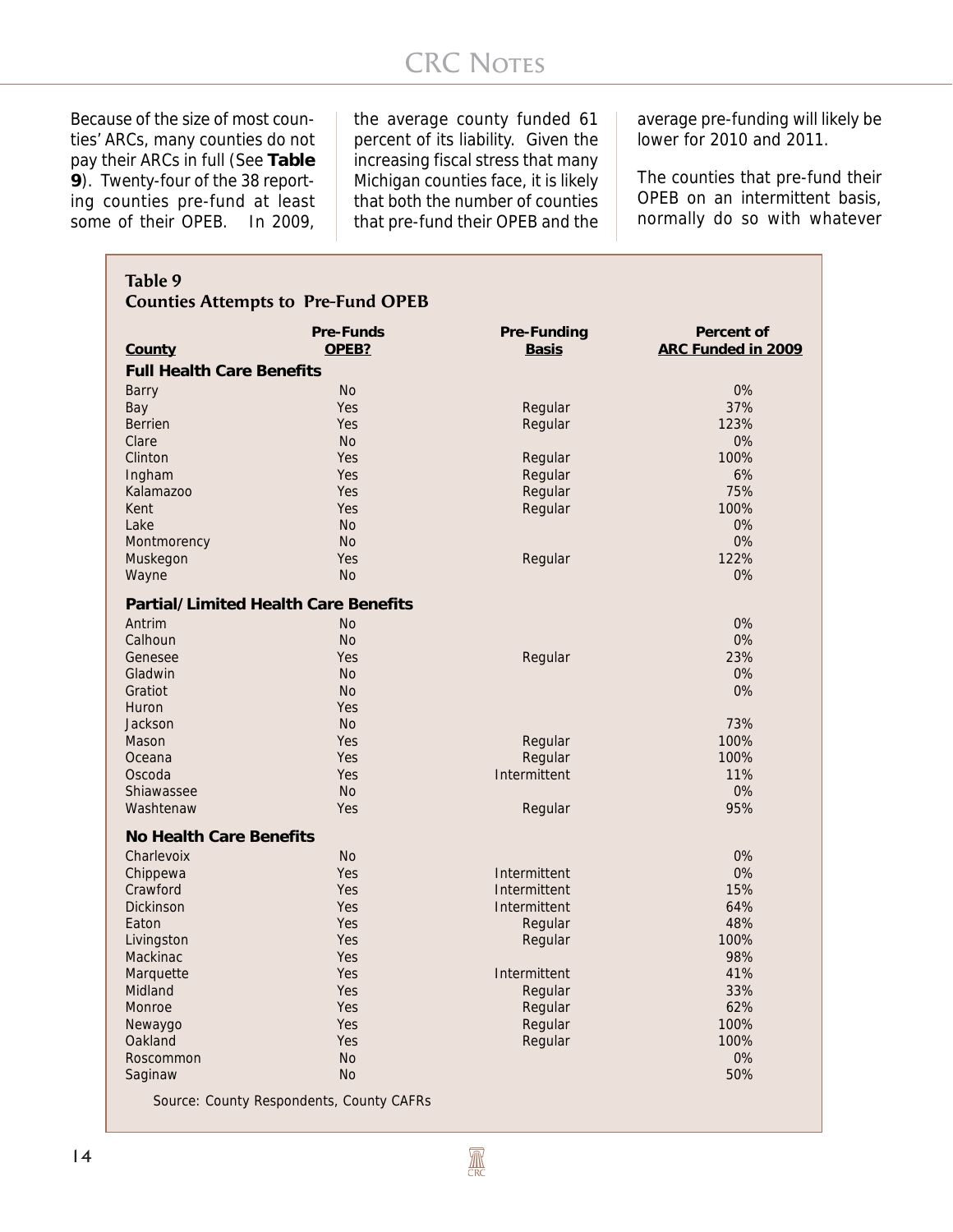# **CRC NOTES**

Because of the size of most counties' ARCs, many counties do not pay their ARCs in full (See **Table 9**). Twenty-four of the 38 reporting counties pre-fund at least some of their OPEB. In 2009,

the average county funded 61 percent of its liability. Given the increasing fiscal stress that many Michigan counties face, it is likely that both the number of counties that pre-fund their OPEB and the average pre-funding will likely be lower for 2010 and 2011.

The counties that pre-fund their OPEB on an intermittent basis, normally do so with whatever

|                                  | <b>Pre-Funds</b>                            | Pre-Funding  | Percent of<br>ARC Funded in 2009 |
|----------------------------------|---------------------------------------------|--------------|----------------------------------|
| County                           | OPEB?                                       | <b>Basis</b> |                                  |
| <b>Full Health Care Benefits</b> |                                             |              |                                  |
| <b>Barry</b>                     | <b>No</b>                                   |              | 0%                               |
| Bay                              | Yes                                         | Regular      | 37%                              |
| <b>Berrien</b>                   | Yes                                         | Regular      | 123%                             |
| Clare                            | <b>No</b>                                   |              | 0%                               |
| Clinton                          | Yes                                         | Regular      | 100%                             |
| Ingham                           | Yes                                         | Regular      | 6%                               |
| Kalamazoo                        | Yes                                         | Regular      | 75%                              |
| Kent                             | Yes                                         | Regular      | 100%                             |
| Lake                             | <b>No</b><br><b>No</b>                      |              | 0%<br>0%                         |
| Montmorency<br>Muskegon          | Yes                                         | Regular      | 122%                             |
| Wayne                            | <b>No</b>                                   |              | 0%                               |
|                                  |                                             |              |                                  |
|                                  | <b>Partial/Limited Health Care Benefits</b> |              |                                  |
| Antrim                           | <b>No</b>                                   |              | 0%                               |
| Calhoun                          | <b>No</b>                                   |              | 0%                               |
| Genesee                          | Yes<br><b>No</b>                            | Regular      | 23%<br>0%                        |
| Gladwin<br>Gratiot               | <b>No</b>                                   |              | 0%                               |
| Huron                            | Yes                                         |              |                                  |
| Jackson                          | <b>No</b>                                   |              | 73%                              |
| Mason                            | Yes                                         | Regular      | 100%                             |
| Oceana                           | Yes                                         | Regular      | 100%                             |
| Oscoda                           | Yes                                         | Intermittent | 11%                              |
| Shiawassee                       | <b>No</b>                                   |              | 0%                               |
| Washtenaw                        | Yes                                         | Regular      | 95%                              |
| <b>No Health Care Benefits</b>   |                                             |              |                                  |
| Charlevoix                       | <b>No</b>                                   |              | 0%                               |
| Chippewa                         | Yes                                         | Intermittent | 0%                               |
| Crawford                         | Yes                                         | Intermittent | 15%                              |
| <b>Dickinson</b>                 | Yes                                         | Intermittent | 64%                              |
| Eaton                            | Yes                                         | Regular      | 48%                              |
| Livingston                       | Yes                                         | Regular      | 100%                             |
| Mackinac                         | Yes                                         |              | 98%                              |
| Marquette                        | Yes                                         | Intermittent | 41%                              |
| Midland                          | Yes                                         | Regular      | 33%                              |
| Monroe                           | Yes                                         | Regular      | 62%                              |
| Newaygo                          | Yes                                         | Regular      | 100%                             |
| Oakland                          | Yes                                         | Regular      | 100%                             |
| Roscommon                        | <b>No</b>                                   |              | 0%                               |
| Saginaw                          | No                                          |              | 50%                              |

 $\mathbb{R}$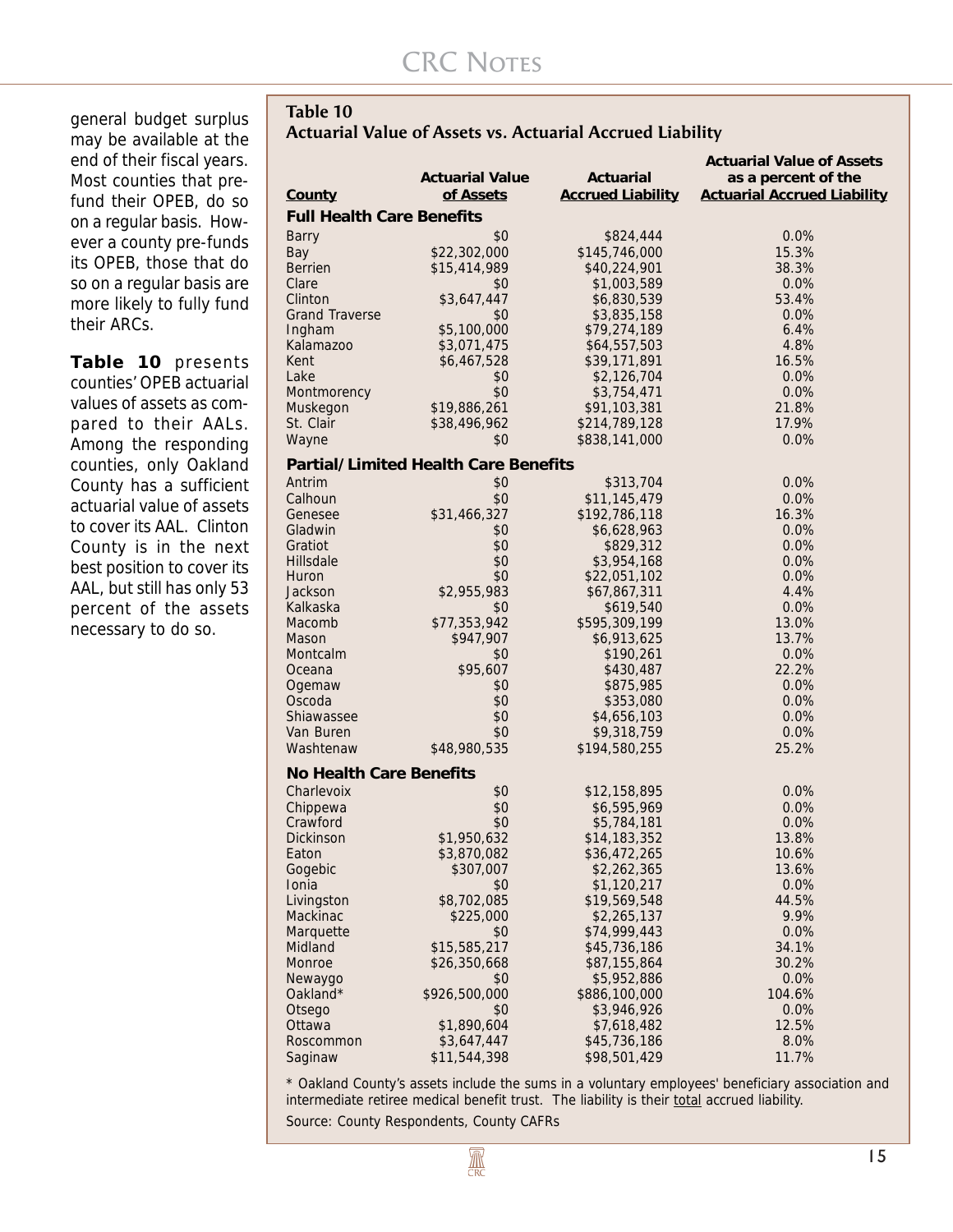general budget surplus may be available at the end of their fiscal years. Most counties that prefund their OPEB, do so on a regular basis. However a county pre-funds its OPEB, those that do so on a regular basis are more likely to fully fund their ARCs.

**Table 10** presents counties' OPEB actuarial values of assets as compared to their AALs. Among the responding counties, only Oakland County has a sufficient actuarial value of assets to cover its AAL. Clinton County is in the next best position to cover its AAL, but still has only 53 percent of the assets necessary to do so.

| Table 10                                                         |  |
|------------------------------------------------------------------|--|
| <b>Actuarial Value of Assets vs. Actuarial Accrued Liability</b> |  |

|                                  |                                             |                                       | <b>Actuarial Value of Assets</b>                          |
|----------------------------------|---------------------------------------------|---------------------------------------|-----------------------------------------------------------|
|                                  | <b>Actuarial Value</b>                      | Actuarial<br><b>Accrued Liability</b> | as a percent of the<br><b>Actuarial Accrued Liability</b> |
| County                           | of Assets                                   |                                       |                                                           |
| <b>Full Health Care Benefits</b> |                                             |                                       |                                                           |
| Barry                            | \$0                                         | \$824,444                             | 0.0%                                                      |
| Bay                              | \$22,302,000                                | \$145,746,000                         | 15.3%                                                     |
| <b>Berrien</b>                   | \$15,414,989                                | \$40,224,901                          | 38.3%                                                     |
| Clare                            | \$0                                         | \$1,003,589                           | 0.0%                                                      |
| Clinton                          | \$3,647,447                                 | \$6,830,539                           | 53.4%                                                     |
| <b>Grand Traverse</b>            | \$0                                         | \$3,835,158                           | 0.0%                                                      |
| Ingham                           | \$5,100,000                                 | \$79,274,189                          | 6.4%                                                      |
| Kalamazoo<br>Kent                | \$3,071,475                                 | \$64,557,503                          | 4.8%                                                      |
| Lake                             | \$6,467,528<br>\$0                          | \$39,171,891<br>\$2,126,704           | 16.5%<br>0.0%                                             |
|                                  | \$0                                         | \$3,754,471                           | 0.0%                                                      |
| Montmorency<br>Muskegon          | \$19,886,261                                | \$91,103,381                          | 21.8%                                                     |
| St. Clair                        | \$38,496,962                                | \$214,789,128                         | 17.9%                                                     |
| Wayne                            | \$0                                         | \$838,141,000                         | 0.0%                                                      |
|                                  |                                             |                                       |                                                           |
|                                  | <b>Partial/Limited Health Care Benefits</b> |                                       |                                                           |
| Antrim                           | \$0                                         | \$313,704                             | 0.0%                                                      |
| Calhoun                          | \$0                                         | \$11,145,479                          | 0.0%                                                      |
| Genesee                          | \$31,466,327                                | \$192,786,118                         | 16.3%                                                     |
| Gladwin                          | \$0                                         | \$6,628,963                           | 0.0%                                                      |
| Gratiot                          | \$0                                         | \$829,312                             | 0.0%                                                      |
| Hillsdale                        | \$0                                         | \$3,954,168                           | 0.0%                                                      |
| Huron<br>Jackson                 | \$0                                         | \$22,051,102                          | 0.0%<br>4.4%                                              |
| Kalkaska                         | \$2,955,983<br>\$0                          | \$67,867,311<br>\$619,540             | 0.0%                                                      |
| Macomb                           | \$77,353,942                                | \$595,309,199                         | 13.0%                                                     |
| Mason                            | \$947,907                                   | \$6,913,625                           | 13.7%                                                     |
| Montcalm                         | \$0                                         | \$190,261                             | 0.0%                                                      |
| Oceana                           | \$95,607                                    | \$430,487                             | 22.2%                                                     |
| Ogemaw                           | \$0                                         | \$875,985                             | 0.0%                                                      |
| Oscoda                           | \$0                                         | \$353,080                             | 0.0%                                                      |
| Shiawassee                       | \$0                                         | \$4,656,103                           | 0.0%                                                      |
| Van Buren                        | \$0                                         | \$9,318,759                           | 0.0%                                                      |
| Washtenaw                        | \$48,980,535                                | \$194,580,255                         | 25.2%                                                     |
| <b>No Health Care Benefits</b>   |                                             |                                       |                                                           |
| Charlevoix                       | \$0                                         | \$12,158,895                          | 0.0%                                                      |
| Chippewa                         | \$0                                         | \$6,595,969                           | 0.0%                                                      |
| Crawford                         | \$0                                         | \$5,784,181                           | 0.0%                                                      |
| Dickinson                        | \$1,950,632                                 | \$14,183,352                          | 13.8%                                                     |
| Eaton                            | \$3,870,082                                 | \$36,472,265                          | 10.6%                                                     |
| Gogebic                          | \$307,007                                   | \$2,262,365                           | 13.6%                                                     |
| Ionia                            | \$0                                         | \$1,120,217                           | 0.0%                                                      |
| Livingston                       | \$8,702,085                                 | \$19,569,548                          | 44.5%                                                     |
| Mackinac                         | \$225,000                                   | \$2,265,137                           | 9.9%                                                      |
| Marquette                        | \$0                                         | \$74,999,443                          | 0.0%                                                      |
| Midland                          | \$15,585,217                                | \$45,736,186                          | 34.1%                                                     |
| Monroe                           | \$26,350,668                                | \$87,155,864                          | 30.2%                                                     |
| Newaygo                          | \$0                                         | \$5,952,886                           | 0.0%                                                      |
| Oakland*                         | \$926,500,000                               | \$886,100,000                         | 104.6%                                                    |
| Otsego                           | \$0                                         | \$3,946,926                           | 0.0%                                                      |
| Ottawa                           | \$1,890,604                                 | \$7,618,482                           | 12.5%                                                     |
| Roscommon                        | \$3,647,447                                 | \$45,736,186                          | 8.0%                                                      |
| Saginaw                          | \$11,544,398                                | \$98,501,429                          | 11.7%                                                     |

\* Oakland County's assets include the sums in a voluntary employees' beneficiary association and intermediate retiree medical benefit trust. The liability is their total accrued liability.